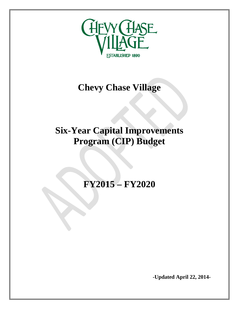

## **Chevy Chase Village**

## **Six-Year Capital Improvements Program (CIP) Budget**

**FY2015 – FY2020** 

**-Updated April 22, 2014-**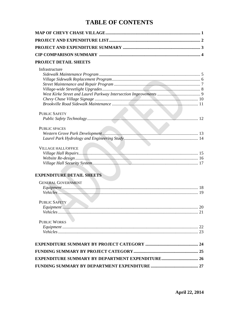## **TABLE OF CONTENTS**

| <b>PROJECT DETAIL SHEETS</b>                            |  |
|---------------------------------------------------------|--|
| Infrastructure                                          |  |
| <b>PUBLIC SAFETY</b>                                    |  |
|                                                         |  |
| <b>PUBLIC SPACES</b>                                    |  |
| <b>VILLAGE HALL/OFFICE</b>                              |  |
| <b>EXPENDITURE DETAIL SHEETS</b>                        |  |
| <b>GENERAL GOVERNMENT</b>                               |  |
| <b>PUBLIC SAFETY</b>                                    |  |
| <b>PUBLIC WORKS</b>                                     |  |
|                                                         |  |
|                                                         |  |
| <b>EXPENDITURE SUMMARY BY DEPARTMENT EXPENDITURE 26</b> |  |
|                                                         |  |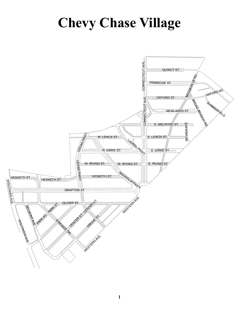# **Chevy Chase Village**

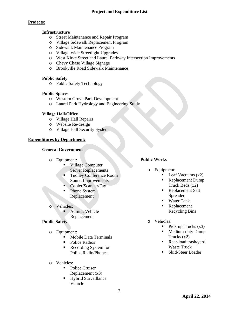## **Project and Expenditure List**

## **Projects:**

### **Infrastructure**

- o Street Maintenance and Repair Program
- o Village Sidewalk Replacement Program
- o Sidewalk Maintenance Program
- o Village-wide Streetlight Upgrades
- o West Kirke Street and Laurel Parkway Intersection Improvements
- o Chevy Chase Village Signage
- o Brookville Road Sidewalk Maintenance

## **Public Safety**

o Public Safety Technology

## **Public Spaces**

- o Western Grove Park Development
- o Laurel Park Hydrology and Engineering Study

## **Village Hall/Office**

- o Village Hall Repairs
- o Website Re-design
- o Village Hall Security System

## **Expenditures by Department:**

## **General Government**

- o Equipment:
	- Village Computer Server Replacements
	- Tuohey Conference Room Sound Improvements
	- Copier/Scanner/Fax
	- Phone System Replacement
- o Vehicles:
	- **Admin.** Vehicle Replacement

## **Public Safety**

- o Equipment:
	- Mobile Data Terminals
	- Police Radios
	- Recording System for Police Radio/Phones
- o Vehicles:
	- Police Cruiser Replacement (x3)
	- Hybrid Surveillance Vehicle

## **Public Works**

- o Equipment:
	- Leaf Vacuums (x2)
	- Replacement Dump Truck Beds (x2)
	- Replacement Salt Spreader
	- Water Tank
	- **Replacement** Recycling Bins
- o Vehicles:
	- $\blacksquare$  Pick-up Trucks (x3)
	- **Medium-duty Dump** Trucks (x2)
	- Rear-load trash/yard Waste Truck
	- Skid-Steer Loader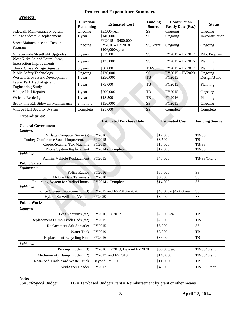## **Project and Expenditure Summary**

| <b>Projects:</b>                                                    |                               |                                                              |                                 |                                                 |                 |
|---------------------------------------------------------------------|-------------------------------|--------------------------------------------------------------|---------------------------------|-------------------------------------------------|-----------------|
|                                                                     | Duration/<br><b>Remaining</b> | <b>Estimated Cost</b>                                        | <b>Funding</b><br><b>Source</b> | <b>Construction</b><br><b>Ready Date (Est.)</b> | <b>Status</b>   |
| Sidewalk Maintenance Program                                        | Ongoing                       | \$3,500/year                                                 | <b>SS</b>                       | Ongoing                                         | Ongoing         |
| Village Sidewalk Replacement                                        | 1 year                        | \$140,000                                                    | <b>SS</b>                       | Ongoing                                         | In-construction |
| <b>Street Maintenance and Repair</b><br>Program                     | Ongoing                       | $FY2015 - $480,000$<br>FY2016 - FY2018<br>$$106,000 +$ /year | SS/Grant                        | Ongoing                                         | Ongoing         |
| Village-wide Streetlight Upgrades                                   | 3 years                       | \$319,00                                                     | <b>SS</b>                       | FY2015 - FY2017                                 | Pilot Program   |
| West Kirke St. and Laurel Pkwy.<br><b>Intersection Improvements</b> | 2 years                       | \$125,000                                                    | <b>SS</b>                       | $FY2015 - FY2016$                               | Planning        |
| Chevy Chase Village Signage                                         | 3 years                       | \$50,000                                                     | TB/SS                           | FY2015 - FY2017                                 | Planning        |
| <b>Public Safety Technology</b>                                     | Ongoing                       | \$120,000                                                    | <b>SS</b>                       | FY2015 - FY2020                                 | Ongoing         |
| <b>Western Grove Park Development</b>                               | 1 year                        | \$250,000                                                    | TB                              | FY2015                                          | Design/Build    |
| Laurel Park Hydrology and<br><b>Engineering Study</b>               | 1 year                        | \$75,000                                                     | TB                              | FY2015                                          | Planning        |
| Village Hall Repairs                                                | 1 year                        | \$200,000                                                    | TB                              | FY2015                                          | Ongoing         |
| Website Re-design                                                   | 1 year                        | \$18,500                                                     | TB                              | FY2016                                          | Planning        |
| Brookville Rd. Sidewalk Maintenance                                 | 2 months                      | \$150,000                                                    | SS                              | FY2015                                          | Ongoing         |
| Village Hall Security System                                        | Complete                      | \$21,000                                                     | <b>SS</b>                       | Complete                                        | Complete        |
| Expenditures:                                                       |                               |                                                              |                                 |                                                 |                 |

| <b>Expenditures:</b>                 |                                |                         |                       |
|--------------------------------------|--------------------------------|-------------------------|-----------------------|
|                                      | <b>Estimated Purchase Date</b> | <b>Estimated Cost</b>   | <b>Funding Source</b> |
| <b>General Government</b>            |                                |                         |                       |
| Equipment:                           |                                |                         |                       |
| Village Computer Server(s)           | FY2016                         | \$12,000                | TB/SS                 |
| Tuohey Conference Sound Improvements | FY2015                         | \$3,500                 | TB                    |
| Copier/Scanner/Fax Machine           | FY2019                         | \$15,000                | TB/SS                 |
| Phone System Replacement             | FY2014 - Complete              | \$17,000                | TB/SS                 |
| Vehicles:                            |                                |                         |                       |
| Admin. Vehicle Replacement           | FY2015                         | \$40,000                | TB/SS/Grant           |
| <b>Public Safety</b>                 |                                |                         |                       |
| Equipment:                           |                                |                         |                       |
| <b>Police Radios</b>                 | FY2016                         | \$35,000                | SS                    |
| <b>Mobile Data Terminals</b>         | FY2018                         | \$9,000                 | SS                    |
| Recording System for Radio/Phones    | FY2014 - Complete              | \$14,000                | SS                    |
| Vehicles:                            |                                |                         |                       |
| Police Cruiser Replacement (x3)      | FY2015 and FY2019 - 2020       | \$40,000 - \$42,000/ea. | SS                    |
| Hybrid Surveillance Vehicle          | FY2020                         | \$30,000                | SS                    |
| <b>Public Works</b>                  |                                |                         |                       |
| Equipment:                           |                                |                         |                       |
| Leaf Vacuums $(x2)$                  | FY2016, FY2017                 | \$20,000/ea             | <b>TB</b>             |
| Replacement Dump Truck Beds (x2)     | FY2015                         | \$20,000                | TB/SS                 |
| Replacement Salt Spreader            | FY2015                         | \$6,000                 | SS                    |
| <b>Water Tank</b>                    | FY2019                         | \$8,000                 | TB                    |
| <b>Replacement Recycling Bins</b>    | FY2016                         | \$36,000                | TB                    |
| Vehicles:                            |                                |                         |                       |
| Pick-up Trucks (x3)                  | FY2016, FY2019, Beyond FY2020  | \$36,000/ea.            | TB/SS/Grant           |
| Medium-duty Dump Trucks (x2)         | FY2017 and FY2019              | \$146,000               | TB/SS/Grant           |
| Rear-load Trash/Yard Waste Truck     | Beyond FY2020                  | \$115,000               | TB                    |
| Skid-Steer Loader                    | FY2017                         | \$40,000                | TB/SS/Grant           |

**Note:** 

SS=*SafeSpeed* Budget TB = Tax-based Budget Grant = Reimbursement by grant or other means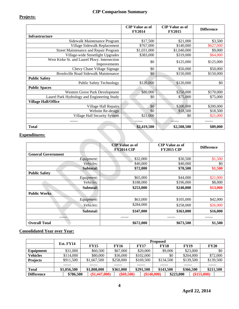## **CIP Comparison Summary**

## **Projects:**

|                                                              | <b>CIP</b> Value as of | <b>CIP</b> Value as of | <b>Difference</b> |
|--------------------------------------------------------------|------------------------|------------------------|-------------------|
|                                                              | <b>FY2014</b>          | <b>FY2015</b>          |                   |
| <b>Infrastructure</b>                                        |                        |                        |                   |
| Sidewalk Maintenance Program                                 | \$17,500               | \$21,000               | \$3,500           |
| Village Sidewalk Replacement                                 | \$767,000              | \$140,000              | \$627,000         |
| Street Maintenance and Repair Program                        | \$1,031,000            | \$1,040,000            | \$9,000           |
| Village-wide Streetlight Upgrades                            | \$383,000              | \$319,000              | \$64,000          |
| West Kirke St. and Laurel Pkwy. Intersection<br>Improvements | \$0                    | \$125,000              | \$125,000         |
| Chevy Chase Village Signage                                  | \$0                    | \$50,000               | \$50,000          |
| Brookville Road Sidewalk Maintenance                         | \$0                    | \$150,000              | \$150,000         |
| <b>Public Safety</b>                                         |                        |                        |                   |
| <b>Public Safety Technology</b>                              | \$120,000              | \$120,000              | \$0               |
| <b>Public Spaces</b>                                         |                        |                        |                   |
| Western Grove Park Development                               | \$80,000               | \$250,000              | \$170,000         |
| Laurel Park Hydrology and Engineering Study                  | \$0                    | \$75,000               | \$75,000          |
| <b>Village Hall/Office</b>                                   |                        |                        |                   |
| Village Hall Repairs                                         | \$0                    | \$200,000              | \$200,000         |
| Website Re-design                                            | \$0                    | \$18,500               | \$18,500          |
| <b>Village Hall Security System</b>                          | \$21,000               | \$0                    | \$21,000          |
|                                                              |                        |                        |                   |
| <b>Total</b>                                                 | \$2,419,500            | \$2,508,500            | \$89,000          |

## **Expenditures:**

|                           | <b>CIP</b> Value as of<br><b>FY2014 CIP</b> | <b>CIP</b> Value as of<br><b>FY2015 CIP</b> | <b>Difference</b> |  |
|---------------------------|---------------------------------------------|---------------------------------------------|-------------------|--|
| <b>General Government</b> |                                             |                                             |                   |  |
| Equipment:                | \$32,000                                    | \$30,500                                    | \$1,500           |  |
| <i>Vehicles:</i>          | \$40,000                                    | \$40,000                                    | \$0               |  |
| Subtotal:                 | \$72,000                                    | \$70,500                                    | \$1,500           |  |
| <b>Public Safety</b>      |                                             |                                             |                   |  |
| Equipment:                | \$65,000                                    | \$44,000                                    | \$21,000          |  |
| Vehicles:                 | \$188,000                                   | \$196,000                                   | \$8,000           |  |
| Subtotal:                 | \$253,000                                   | \$240,000                                   | \$13,000          |  |
| <b>Public Works</b>       |                                             |                                             |                   |  |
| Equipment:                | \$63,000                                    | \$105,000                                   | \$42,000          |  |
| Vehicles:                 | \$284,000                                   | \$258,000                                   | \$26,000          |  |
| Subtotal:                 | \$347,000                                   | \$363,000                                   | \$16,000          |  |
|                           |                                             |                                             |                   |  |
| <b>Overall Total</b>      | \$672,000                                   | \$673,500                                   | \$1,500           |  |

## **Consolidated Year over Year:**

|                   | Est. FY14   |                 |              |             | <b>Proposed</b> |             |             |
|-------------------|-------------|-----------------|--------------|-------------|-----------------|-------------|-------------|
|                   |             | <b>FY15</b>     | <b>FY16</b>  | <b>FY17</b> | <b>FY18</b>     | <b>FY19</b> | <b>FY20</b> |
| Equipment         | \$31,000    | \$60,500        | \$67,000     | \$20,000    | \$9,000         | \$23,000    | \$0         |
| <b>Vehicles</b>   | \$114,000   | \$80,000        | \$36,000     | \$102,000   | \$0             | \$204,000   | \$72,000    |
| <b>Projects</b>   | \$911,500   | \$1,667,500     | \$258,000    | \$169,500   | \$134,500       | \$139,500   | \$139,500   |
|                   |             |                 |              |             |                 |             |             |
| <b>Total</b>      | \$1,056,500 | \$1,808,000     | \$361,000    | \$291,500   | \$143,500       | \$366,500   | \$211,500   |
| <b>Difference</b> | \$786,500   | $(\$1,447,000)$ | $(\$69,500)$ |             | (\$148,000)     | \$223,000   | (\$155,000) |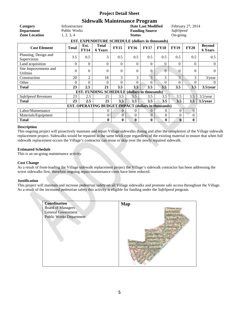## **Sidewalk Maintenance Program**

|                                                            |                                |                     | $\sim$ . This is also change to $\sim$              |                |                |                                                    |             |                |                   |                                 |
|------------------------------------------------------------|--------------------------------|---------------------|-----------------------------------------------------|----------------|----------------|----------------------------------------------------|-------------|----------------|-------------------|---------------------------------|
| Category<br><b>Department</b>                              | Infrastructure<br>Public Works |                     |                                                     |                |                | <b>Date Last Modified</b><br><b>Funding Source</b> |             | SafeSpeed      | February 27, 2014 |                                 |
| <b>Zone Location</b>                                       | 1, 2, 3, 4                     |                     |                                                     |                | <b>Status</b>  |                                                    |             | On-going       |                   |                                 |
|                                                            |                                |                     | EST. EXPENDITURE SCHEDULE (dollars in thousands)    |                |                |                                                    |             |                |                   |                                 |
| <b>Cost Element</b>                                        | <b>Total</b>                   | Est.<br><b>FY14</b> | <b>Total</b><br><b>6 Years</b>                      | <b>FY15</b>    | <b>FY16</b>    | <b>FY17</b>                                        | <b>FY18</b> | <b>FY19</b>    | <b>FY20</b>       | <b>Beyond</b><br><b>6 Years</b> |
| Planning, Design and<br>Supervision                        | 3.5                            | 0.5                 | 3                                                   | 0.5            | 0.5            | 0.5                                                | 0.5         | 0.5            | 0.5               | 0.5                             |
| Land acquisition                                           | $\Omega$                       | $\theta$            | $\theta$                                            | $\theta$       | $\Omega$       | $\Omega$                                           | $\Omega$    | $\Omega$       | $\theta$          | $\overline{0}$                  |
| Site Improvements and<br><b>Utilities</b>                  | $\Omega$                       | $\Omega$            | $\theta$                                            | $\Omega$       | $\Omega$       | $\overline{0}$                                     | $\Omega$    | $\overline{0}$ | $\theta$          | $\overline{0}$                  |
| Construction                                               | 20                             | 2                   | 18                                                  | 3              | 3              | 3                                                  | 3           | 3              | 3                 | $3$ /year                       |
| Other                                                      | $\Omega$                       | $\Omega$            | 0                                                   | 0              | $\Omega$       | $\Omega$                                           | $\Omega$    | $\Omega$       | $\Omega$          | $\overline{0}$                  |
| Total                                                      | 23                             | 2.5                 | 21                                                  | 3.5            | 3.5            | 3.5                                                | 3.5         | 3.5            | 3.5               | $3.5$ /year                     |
|                                                            |                                |                     | <b>EST. FUNDING SCHEDULE (dollars in thousands)</b> |                |                |                                                    |             |                |                   |                                 |
| SafeSpeed Revenues                                         | 23                             | 2.5                 | 21                                                  | 3.5            | 3.5            | 3.5                                                | 3.5         | 3.5            | 3.5               | $3.5$ /year                     |
| <b>Total</b>                                               | 23                             | 2.5                 | 21                                                  | 3.5            | 3.5            | 3.5                                                | 3.5         | 3.5            | 3.5               | $3.5$ /year                     |
| <b>EST. OPERATING BUDGET IMPACT (dollars in thousands)</b> |                                |                     |                                                     |                |                |                                                    |             |                |                   |                                 |
| Labor/Maintenance                                          |                                |                     | 0                                                   | $\Omega$       | 0              | $\overline{0}$                                     | 0           | $\theta$       | $\overline{0}$    |                                 |
| Materials/Equipment                                        |                                |                     | $\theta$                                            | $\overline{0}$ | $\overline{0}$ | $\overline{0}$                                     | $\Omega$    | $\theta$       | $\theta$          |                                 |
| <b>Total</b>                                               |                                |                     | $\bf{0}$                                            | $\bf{0}$       | 0              | $\bf{0}$                                           | $\bf{0}$    | $\mathbf{0}$   | $\bf{0}$          |                                 |

#### **Description**

This ongoing project will proactively maintain and repair Village sidewalks during and after the completion of the Village sidewalk replacement project. Sidewalks would be repaired in the same brick type regardless of the existing material to ensure that when full sidewalk replacement occurs the Village's contractor can reuse or skip over the newly repaired sidewalk.

#### **Estimated Schedule**

This is an on-going maintenance activity.

#### **Cost Change**

As a result of front-loading the Village sidewalk replacement project the Village's sidewalk contractor has been addressing the worst sidewalks first; therefore ongoing repair/maintenance costs have been reduced.

#### **Justification**

This project will maintain and increase pedestrian safety on all Village sidewalks and promote safe access throughout the Village. As a result of the increased pedestrian safety this activity is eligible for funding under the *SafeSpeed* program.

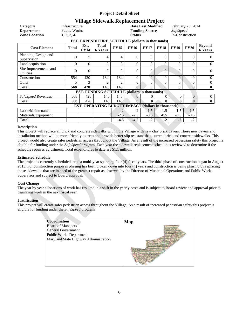## **Village Sidewalk Replacement Project**

| Category<br><b>Department</b><br><b>Zone Location</b>      | Infrastructure<br><b>Public Works</b><br>1, 2, 3, 4 |                     |                                                     |                | <b>Status</b> | <b>Date Last Modified</b><br><b>Funding Source</b> |                | <i>SafeSpeed</i> | February 25, 2014<br>In-Construction |                                 |
|------------------------------------------------------------|-----------------------------------------------------|---------------------|-----------------------------------------------------|----------------|---------------|----------------------------------------------------|----------------|------------------|--------------------------------------|---------------------------------|
|                                                            |                                                     |                     | EST. EXPENDITURE SCHEDULE (dollars in thousands)    |                |               |                                                    |                |                  |                                      |                                 |
| <b>Cost Element</b>                                        | <b>Total</b>                                        | Est.<br><b>FY14</b> | <b>Total</b><br><b>6 Years</b>                      | <b>FY15</b>    | <b>FY16</b>   | <b>FY17</b>                                        | <b>FY18</b>    | <b>FY19</b>      | <b>FY20</b>                          | <b>Beyond</b><br><b>6 Years</b> |
| Planning, Design and<br>Supervision                        | 9                                                   | 5                   | 4                                                   | 4              | $\Omega$      | $\Omega$                                           | $\Omega$       | $\Omega$         | $\Omega$                             | $\Omega$                        |
| Land acquisition                                           | $\Omega$                                            | $\Omega$            | $\Omega$                                            | $\theta$       | $\theta$      | $\Omega$                                           | $\Omega$       | $\theta$         | $\Omega$                             | $\overline{0}$                  |
| Site Improvements and<br><b>Utilities</b>                  | $\theta$                                            | $\Omega$            | $\Omega$                                            | $\Omega$       | $\Omega$      | $\Omega$                                           | $\overline{0}$ | $\theta$         | $\Omega$                             | $\theta$                        |
| Construction                                               | 554                                                 | 420                 | 134                                                 | 134            | $\Omega$      | $\Omega$                                           | $\Omega$       | $\overline{0}$   | $\Omega$                             | $\boldsymbol{0}$                |
| Other                                                      | 5                                                   | 3                   | $\mathfrak{D}$                                      | $\mathfrak{D}$ | $\theta$      | $\Omega$                                           | $\Omega$       | $\theta$         | $\Omega$                             | $\boldsymbol{0}$                |
| <b>Total</b>                                               | 568                                                 | 428                 | 140                                                 | 140            | $\mathbf{0}$  | $\mathbf{0}$                                       | $\mathbf{0}$   | 0                | $\Omega$                             | $\bf{0}$                        |
|                                                            |                                                     |                     | <b>EST. FUNDING SCHEDULE (dollars in thousands)</b> |                |               |                                                    |                |                  |                                      |                                 |
| SafeSpeed Revenues                                         | 568                                                 | 428                 | 140                                                 | 140            | $\Omega$      | 0                                                  | $\overline{0}$ | $\theta$         | $\overline{0}$                       | $\overline{0}$                  |
| <b>Total</b>                                               | 568                                                 | 428                 | 140                                                 | 140            | $\mathbf{0}$  | 0                                                  | $\mathbf{0}$   | 0                | $\bf{0}$                             | $\bf{0}$                        |
| <b>EST. OPERATING BUDGET IMPACT (dollars in thousands)</b> |                                                     |                     |                                                     |                |               |                                                    |                |                  |                                      |                                 |
| Labor/Maintenance                                          |                                                     |                     |                                                     | $-2$           | $-2$          | $-1.5$                                             | $-1.5$         | $-1.5$           | $-1.5$                               |                                 |
| Materials/Equipment                                        |                                                     |                     |                                                     | $-2.5$         | $-2.5$        | $-0.5$                                             | $-0.5$         | $-0.5$           | $-0.5$                               |                                 |
| <b>Total</b>                                               |                                                     |                     |                                                     | $-4.5$         | $-4.5$        | $-2$                                               | $-2$           | $-2$             | $-2$                                 |                                 |

#### **Description**

This project will replace all brick and concrete sidewalks within the Village with new clay brick pavers. These new pavers and installation method will be more friendly to trees and provide better slip resistant than current brick and concrete sidewalks. This project would also create safer pedestrian access throughout the Village. As a result of the increased pedestrian safety this project is eligible for funding under the *SafeSpeed* program. Each year the sidewalk replacement schedule is reviewed to determine if the schedule requires adjustment. Total expenditures to date are \$1.1 million.

#### **Estimated Schedule**

The project is currently scheduled to be a multi-year spanning four (4) fiscal years. The third phase of construction began in August 2013. For construction purposes phasing has been broken down into four (4) years and construction is being phasing by replacing those sidewalks that are in need of the greatest repair as observed by the Director of Municipal Operations and Public Works Supervisor and subject to Board approval.

#### **Cost Change**

The year by year allocations of work has resulted in a shift in the yearly costs and is subject to Board review and approval prior to beginning work in the next fiscal year.

#### **Justification**

This project will create safer pedestrian access throughout the Village. As a result of increased pedestrian safety this project is eligible for funding under the *SafeSpeed* program.

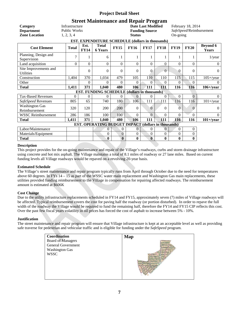## **Street Maintenance and Repair Program**

| Category<br><b>Department</b><br><b>Zone Location</b> | Infrastructure<br>Public Works<br>1, 2, 3, 4 |                     |                                                            |                | <b>Status</b>  | <b>Date Last Modified</b><br><b>Funding Source</b> |                | On-going    | February 18, 2014 | SafeSpeed/Reimbursement         |
|-------------------------------------------------------|----------------------------------------------|---------------------|------------------------------------------------------------|----------------|----------------|----------------------------------------------------|----------------|-------------|-------------------|---------------------------------|
|                                                       |                                              |                     | EST. EXPENDITURE SCHEDULE (dollars in thousands)           |                |                |                                                    |                |             |                   |                                 |
| <b>Cost Element</b>                                   | <b>Total</b>                                 | Est.<br><b>FY14</b> | <b>Total</b><br><b>6 Years</b>                             | <b>FY15</b>    | <b>FY16</b>    | <b>FY17</b>                                        | <b>FY18</b>    | <b>FY19</b> | <b>FY20</b>       | <b>Beyond 6</b><br><b>Years</b> |
| Planning, Design and<br>Supervision                   | $\overline{7}$                               |                     | 6                                                          |                |                |                                                    |                |             |                   | $1$ /year                       |
| Land acquisition                                      | $\theta$                                     | $\theta$            | $\theta$                                                   | $\Omega$       | $\Omega$       | $\Omega$                                           | $\Omega$       | $\Omega$    | $\Omega$          | $\Omega$                        |
| Site Improvements and<br>Utilities                    |                                              | 0                   | $\Omega$                                                   | $\Omega$       | $\Omega$       | $\Omega$                                           | $\theta$       | $\theta$    | $\Omega$          | $\Omega$                        |
| Construction                                          | 1,404                                        | 370                 | 1,034                                                      | 479            | 105            | 110                                                | 110            | 115         | 115               | $105 +$ /year                   |
| Other                                                 |                                              | 0                   | $\Omega$                                                   | $\Omega$       | $\Omega$       | 0                                                  | $\Omega$       | 0           | $\Omega$          | $\Omega$                        |
| <b>Total</b>                                          | 1,411                                        | 371                 | 1,040                                                      | 480            | 106            | 111                                                | 111            | 116         | 116               | $106 +$ /year                   |
|                                                       |                                              |                     | EST. FUNDING SCHEDULE (dollars in thousands)               |                |                |                                                    |                |             |                   |                                 |
| <b>Tax-Based Revenues</b>                             | $\Omega$                                     | 0                   | $\Omega$                                                   | $\Omega$       | $\Omega$       | 0                                                  | $\Omega$       | $\Omega$    | $\overline{0}$    | $\Omega$                        |
| SafeSpeed Revenues                                    | 805                                          | 65                  | 740                                                        | 180            | 106            | 111                                                | 111            | 116         | 116               | $101 +$ /year                   |
| <b>Washington Gas</b><br>Reimbursement                | 320                                          | 120                 | 200                                                        | 200            | $\Omega$       | $\Omega$                                           | $\Omega$       | 0           | $\Omega$          | 0                               |
| <b>WSSC Reimbursement</b>                             | 286                                          | 186                 | 100                                                        | 100            | $\Omega$       | $\overline{0}$                                     | $\Omega$       | $\Omega$    | $\Omega$          | $\Omega$                        |
| <b>Total</b>                                          | 1,411                                        | 371                 | 1,040                                                      | 480            | 106            | 111                                                | 111            | 116         | 116               | $101 +$ /year                   |
|                                                       |                                              |                     | <b>EST. OPERATING BUDGET IMPACT (dollars in thousands)</b> |                |                |                                                    |                |             |                   |                                 |
| Labor/Maintenance                                     |                                              |                     | $\overline{0}$                                             | $\overline{0}$ | $\overline{0}$ | $\Omega$                                           | $\overline{0}$ | 0           | $\mathbf{0}$      |                                 |
| Materials/Equipment                                   |                                              |                     | $\theta$                                                   | $\mathbf{0}$   | $\Omega$       | $\Omega$                                           | $\Omega$       | $\Omega$    | $\boldsymbol{0}$  |                                 |
| <b>Total</b>                                          |                                              |                     | 0                                                          | $\bf{0}$       | $\bf{0}$       | $\mathbf{0}$                                       | $\bf{0}$       | 0           | $\bf{0}$          |                                 |

#### **Description**

This project provides for the on-going maintenance and repair of the Village's roadways, curbs and storm drainage infrastructure using concrete and hot mix asphalt. The Village maintains a total of 8.1 miles of roadway or 27 lane miles. Based on current funding levels all Village roadways would be repaved on a revolving 20-year basis.

#### **Estimated Schedule**

The Village's street maintenance and repair program typically runs from April through October due to the need for temperatures above 60 degrees. In FYs 14 – 15 as part of the WSSC water main replacement and Washington Gas main replacements, these utilities provided funding reimbursement to the Village in compensation for repairing affected roadways. The reimbursement amount is estimated at \$606K

#### **Cost Change**

Due to the utility infrastructure replacements scheduled in FY14 and FY15, approximately seven (7) miles of Village roadways will be affected. Typical reimbursement covers the cost for paving half the roadway (or portion disturbed). In order to repave the full width of the roadway the Village would be required to fund the remaining half, therefore the FY14 and FY15 CIP reflects this cost. Over the past few fiscal years volatility in oil prices has forced the cost of asphalt to increase between 5% - 10%.

#### **Justification**

The street maintenance and repair program will ensure that Village infrastructure is kept at an acceptable level as well as providing safe traverse for pedestrian and vehicular traffic and is eligible for funding under the *SafeSpeed* program.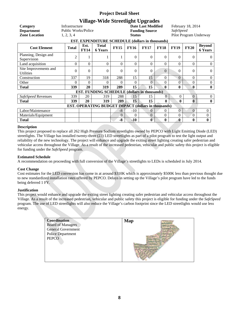## **Village-Wide Streetlight Upgrades**

| Category<br><b>Department</b><br><b>Zone Location</b> | Infrastructure<br><b>Public Works/Police</b><br>1, 2, 3, 4 |                     | EST. EXPENDITURE SCHEDULE (dollars in thousands)    |             | <b>Status</b> | . מי נישה מיים מיים מיים מיים מיים <i>ה</i><br><b>Date Last Modified</b><br><b>Funding Source</b> |                | <b>SafeSpeed</b> | February 18, 2014 | Pilot Program Underway          |
|-------------------------------------------------------|------------------------------------------------------------|---------------------|-----------------------------------------------------|-------------|---------------|---------------------------------------------------------------------------------------------------|----------------|------------------|-------------------|---------------------------------|
| <b>Cost Element</b>                                   | <b>Total</b>                                               | Est.<br><b>FY14</b> | <b>Total</b><br><b>6 Years</b>                      | <b>FY15</b> | <b>FY16</b>   | <b>FY17</b>                                                                                       | <b>FY18</b>    | <b>FY19</b>      | <b>FY20</b>       | <b>Beyond</b><br><b>6 Years</b> |
| Planning, Design and<br>Supervision                   | 2                                                          |                     |                                                     |             | $\Omega$      | $\theta$                                                                                          | $\Omega$       | $\Omega$         | $\Omega$          | $\Omega$                        |
| Land acquisition                                      | 0                                                          | $\theta$            | $\Omega$                                            | $\Omega$    | $\theta$      | $\theta$                                                                                          | $\Omega$       | $\Omega$         | $\theta$          | $\Omega$                        |
| Site Improvements and<br><b>Utilities</b>             | 0                                                          | 0                   | $\theta$                                            | 0           | $\theta$      | $\theta$                                                                                          | $\Omega$       | $\Omega$         | $\theta$          | $\Omega$                        |
| Construction                                          | 337                                                        | 19                  | 318                                                 | 288         | 15            | 15                                                                                                | $\overline{0}$ | $\Omega$         | $\Omega$          | $\overline{0}$                  |
| Other                                                 | 0                                                          | 0                   | 0                                                   | $\Omega$    | $\Omega$      | $\Omega$                                                                                          | 0              | $\theta$         | $\Omega$          | $\boldsymbol{0}$                |
| <b>Total</b>                                          | 339                                                        | 20                  | 319                                                 | 289         | 15            | 15                                                                                                | $\mathbf{0}$   | $\bf{0}$         | 0                 | $\bf{0}$                        |
|                                                       |                                                            |                     | <b>EST. FUNDING SCHEDULE (dollars in thousands)</b> |             |               |                                                                                                   |                |                  |                   |                                 |
| SafeSpeed Revenues                                    | 339                                                        | 20                  | 319                                                 | 288         | 15            | 15                                                                                                | $\Omega$       | $\theta$         | $\mathbf{0}$      | $\overline{0}$                  |
| <b>Total</b>                                          | 339                                                        | 20                  | 319                                                 | 289         | 15            | 15                                                                                                | $\mathbf{0}$   | $\mathbf{0}$     | $\bf{0}$          | $\bf{0}$                        |
|                                                       | EST. OPERATING BUDGET IMPACT (dollars in thousands)        |                     |                                                     |             |               |                                                                                                   |                |                  |                   |                                 |
| Labor/Maintenance                                     |                                                            |                     |                                                     | $-8$        | $-10$         | $\Omega$                                                                                          | $\Omega$       | $\Omega$         | $\Omega$          | $\theta$                        |
| Materials/Equipment                                   |                                                            |                     |                                                     | $\Omega$    | $\Omega$      | $\theta$                                                                                          | $\Omega$       | $\Omega$         | $\Omega$          | 0                               |
| <b>Total</b>                                          |                                                            |                     |                                                     | $-8$        | $-10$         | $\bf{0}$                                                                                          | $\bf{0}$       | $\bf{0}$         | $\bf{0}$          | $\bf{0}$                        |

#### **Description**

This project proposed to replace all 262 High Pressure Sodium streetlights owned by PEPCO with Light Emitting Diode (LED) streetlights. The Village has installed twenty-three (23) LED streetlights as part of a pilot program to test the light output and reliability of the new technology. The project will enhance and upgrade the exiting street lighting creating safer pedestrian and vehicular access throughout the Village. As a result of the increased pedestrian, vehicular and public safety this project is eligible for funding under the *SafeSpeed* program.

#### **Estimated Schedule**

A recommendation on proceeding with full conversion of the Village's streetlights to LEDs is scheduled in July 2014.

#### **Cost Change**

Cost estimates for the LED conversion has come in at around \$310K which is approximately \$500K less than previous thought due to new standardized installation rates offered by PEPCO. Delays in setting up the Village's pilot program have led to the funds being deferred 1 FY.

#### **Justification**

This project would enhance and upgrade the exiting street lighting creating safer pedestrian and vehicular access throughout the Village. As a result of the increased pedestrian, vehicular and public safety this project is eligible for funding under the *SafeSpeed*  program. The use of LED streetlights will also reduce the Village's carbon footprint since the LED streetlights would use less energy.

| Coordination<br><b>Board of Managers</b><br><b>General Government</b><br><b>Police Department</b><br><b>PEPCO</b> | <b>Map</b> |
|-------------------------------------------------------------------------------------------------------------------|------------|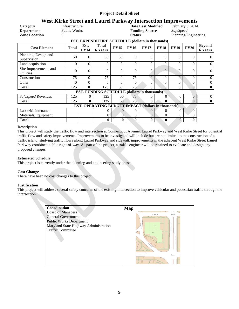## **West Kirke Street and Laurel Parkway Intersection Improvements**

|                                                         | os ining ou co and laura i amin'ny intersection improvements |                     |                                                            |               |             |                           |                  |                |                |                                 |  |  |
|---------------------------------------------------------|--------------------------------------------------------------|---------------------|------------------------------------------------------------|---------------|-------------|---------------------------|------------------|----------------|----------------|---------------------------------|--|--|
| Category                                                | Infrastructure                                               |                     |                                                            |               |             | <b>Date Last Modified</b> | February 5, 2014 |                |                |                                 |  |  |
| <b>Department</b>                                       | <b>Public Works</b>                                          |                     |                                                            |               |             | <b>Funding Source</b>     | <b>SafeSpeed</b> |                |                |                                 |  |  |
| <b>Zone Location</b>                                    | 3                                                            |                     |                                                            | <b>Status</b> |             |                           |                  |                |                | Planning/Engineering            |  |  |
| <b>EST. EXPENDITURE SCHEDULE (dollars in thousands)</b> |                                                              |                     |                                                            |               |             |                           |                  |                |                |                                 |  |  |
| <b>Cost Element</b>                                     | <b>Total</b>                                                 | Est.<br><b>FY14</b> | <b>Total</b><br><b>6 Years</b>                             | <b>FY15</b>   | <b>FY16</b> | <b>FY17</b>               | <b>FY18</b>      | <b>FY19</b>    | <b>FY20</b>    | <b>Beyond</b><br><b>6 Years</b> |  |  |
| Planning, Design and<br>Supervision                     | 50                                                           | $\Omega$            | 50                                                         | 50            | $\theta$    | $\theta$                  | $\Omega$         | $\theta$       | $\theta$       | 0                               |  |  |
| Land acquisition                                        | $\Omega$                                                     | $\theta$            | 0                                                          | $\Omega$      | $\theta$    | $\theta$                  | $\overline{0}$   | $\Omega$       | $\Omega$       | 0                               |  |  |
| Site Improvements and<br><b>Utilities</b>               | $\Omega$                                                     | $\Omega$            | $\Omega$                                                   | $\Omega$      | $\Omega$    | $\overline{0}$            | $\overline{0}$   | $\Omega$       | $\Omega$       | $\Omega$                        |  |  |
| Construction                                            | 75                                                           | $\Omega$            | 75                                                         | $\Omega$      | 75          | $\theta$                  | $\Omega$         | $\overline{0}$ | $\theta$       | $\Omega$                        |  |  |
| Other                                                   | 0                                                            | 0                   | 0                                                          | $\Omega$      | $\Omega$    | $\theta$                  | $\Omega$         | $\Omega$       | $\theta$       | $\theta$                        |  |  |
| <b>Total</b>                                            | 125                                                          | 0                   | 125                                                        | 50            | 75          | $\mathbf{0}$              | $\mathbf{0}$     | $\mathbf{0}$   | $\mathbf{0}$   | $\bf{0}$                        |  |  |
|                                                         |                                                              |                     | <b>EST. FUNDING SCHEDULE (dollars in thousands)</b>        |               |             |                           |                  |                |                |                                 |  |  |
| SafeSpeed Revenues                                      | 125                                                          | $\Omega$            | 125                                                        | 50            | 75          | 0                         | $\overline{0}$   | $\theta$       | $\overline{0}$ | $\Omega$                        |  |  |
| <b>Total</b>                                            | 125                                                          | $\bf{0}$            | 125                                                        | 50            | 75          | $\mathbf{0}$              | $\mathbf{0}$     | 0              | $\bf{0}$       | $\bf{0}$                        |  |  |
|                                                         |                                                              |                     | <b>EST. OPERATING BUDGET IMPACT (dollars in thousands)</b> |               |             |                           |                  |                |                |                                 |  |  |
| Labor/Maintenance                                       |                                                              |                     | $\theta$                                                   | $\Omega$      | 0           | $\Omega$                  | 0                | $\overline{0}$ | $\overline{0}$ |                                 |  |  |
| Materials/Equipment                                     |                                                              |                     | $\overline{0}$                                             | $\theta$      | $\theta$    | $\theta$                  | $\theta$         | $\theta$       | 0              |                                 |  |  |
| <b>Total</b>                                            |                                                              |                     | $\bf{0}$                                                   | 0             | 0           | $\bf{0}$                  | $\bf{0}$         | $\bf{0}$       | $\mathbf{0}$   |                                 |  |  |

#### **Description**

This project will study the traffic flow and intersection at Connecticut Avenue, Laurel Parkway and West Kirke Street for potential traffic flow and safety improvements. Improvements to be investigated will include but are not limited to the construction of a traffic island; studying traffic flows along Laurel Parkway and sidewalk improvements in the adjacent West Kirke Street Laurel Parkway combined public right-of-way. As part of the project, a traffic engineer will be retained to evaluate and design any proposed changes.

#### **Estimated Schedule**

This project is currently under the planning and engineering study phase.

#### **Cost Change**

There have been no cost changes to this project.

#### **Justification**

This project will address several safety concerns of the existing intersection to improve vehicular and pedestrian traffic through the intersection.

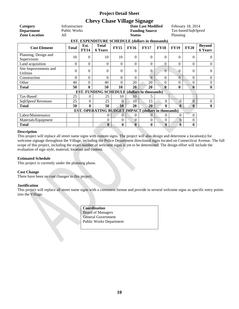## **Chevy Chase Village Signage**

| Category<br><b>Department</b><br><b>Zone Location</b> | Infrastructure<br>Public Works<br>All |                     |                                                            |                | <b>Status</b> | <b>Date Last Modified</b><br><b>Funding Source</b> | February 18, 2014<br>Tax-based/SafeSpeed<br>Planning |              |                |                                 |  |  |
|-------------------------------------------------------|---------------------------------------|---------------------|------------------------------------------------------------|----------------|---------------|----------------------------------------------------|------------------------------------------------------|--------------|----------------|---------------------------------|--|--|
| EST. EXPENDITURE SCHEDULE (dollars in thousands)      |                                       |                     |                                                            |                |               |                                                    |                                                      |              |                |                                 |  |  |
| <b>Cost Element</b>                                   | <b>Total</b>                          | Est.<br><b>FY14</b> | <b>Total</b><br><b>6 Years</b>                             | <b>FY15</b>    | <b>FY16</b>   | <b>FY17</b>                                        | <b>FY18</b>                                          | <b>FY19</b>  | <b>FY20</b>    | <b>Beyond</b><br><b>6 Years</b> |  |  |
| Planning, Design and<br>Supervision                   | 10                                    | $\theta$            | 10                                                         | 10             | $\Omega$      | $\Omega$                                           | 0                                                    | $\Omega$     | $\Omega$       | 0                               |  |  |
| Land acquisition                                      | 0                                     | 0                   | 0                                                          | $\Omega$       | $\Omega$      | $\Omega$                                           | $\boldsymbol{0}$                                     | 0            | $\Omega$       | $\theta$                        |  |  |
| Site Improvements and<br><b>Utilities</b>             | $\theta$                              | $\Omega$            | $\theta$                                                   | 0              | $\Omega$      | $\Omega$                                           | $\overline{0}$                                       | 0            | $\Omega$       | $\Omega$                        |  |  |
| Construction                                          | 0                                     | $\theta$            | $\theta$                                                   | $\Omega$       | $\Omega$      | $\Omega$                                           | $\overline{0}$                                       | $\Omega$     | $\Omega$       | $\theta$                        |  |  |
| Other                                                 | 40                                    | 0                   | 40                                                         | $\theta$       | 20            | 20                                                 | $\theta$                                             | $\theta$     | $\Omega$       | $\theta$                        |  |  |
| <b>Total</b>                                          | 50                                    | $\bf{0}$            | 50                                                         | 10             | 20            | 20                                                 | 0                                                    | $\bf{0}$     | $\mathbf{0}$   | $\bf{0}$                        |  |  |
|                                                       |                                       |                     | <b>EST. FUNDING SCHEDULE (dollars in thousands)</b>        |                |               |                                                    |                                                      |              |                |                                 |  |  |
| Tax-Based                                             | 25                                    | $\theta$            | 25                                                         | 10             | 10            | 5.                                                 |                                                      |              |                |                                 |  |  |
| SafeSpeed Revenues                                    | 25                                    | $\overline{0}$      | 25                                                         | $\Omega$       | 10            | 15                                                 | $\Omega$                                             | $\theta$     | $\overline{0}$ | $\theta$                        |  |  |
| <b>Total</b>                                          | 50                                    | $\bf{0}$            | 50                                                         | 10             | 20            | 20                                                 | $\mathbf{0}$                                         | $\mathbf{0}$ | $\mathbf{0}$   | $\bf{0}$                        |  |  |
|                                                       |                                       |                     | <b>EST. OPERATING BUDGET IMPACT (dollars in thousands)</b> |                |               |                                                    |                                                      |              |                |                                 |  |  |
| Labor/Maintenance                                     |                                       |                     | 0                                                          | $\Omega$       | $\Omega$      | 0                                                  | $\Omega$                                             | $\theta$     | $\Omega$       |                                 |  |  |
| Materials/Equipment                                   |                                       |                     | $\mathbf{0}$                                               | $\overline{0}$ | $\Omega$      | $\Omega$                                           | $\theta$                                             | $\mathbf{0}$ | $\Omega$       |                                 |  |  |
| <b>Total</b>                                          |                                       |                     | $\bf{0}$                                                   | $\bf{0}$       | $\mathbf{0}$  | $\bf{0}$                                           | $\bf{0}$                                             | $\bf{0}$     | $\bf{0}$       |                                 |  |  |

#### **Description**

This project will replace all street name signs with custom signs. The project will also design and determine a location(s) for welcome signage throughout the Village, including the Police Department directional signs located on Connecticut Avenue. The full scope of this project, including the exact number of welcome signs is yet to be determined. The design effort will include the evaluation of sign style, material, location and content.

#### **Estimated Schedule**

This project is currently under the planning phase.

#### **Cost Change**

There have been no cost changes to this project.

#### **Justification**

This project will replace all street name signs with a consistent format and provide to several welcome signs as specific entry points into the Village.

> **Coordination** Board of Managers General Government Public Works Department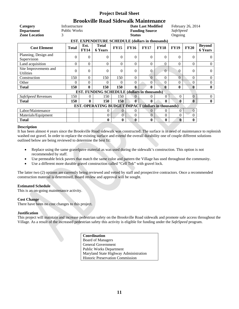## **Brookville Road Sidewalk Maintenance**

| Category<br><b>Department</b><br><b>Zone Location</b>   | Infrastructure<br><b>Public Works</b><br>3                 |                     | <b>Date Last Modified</b><br><b>Funding Source</b><br><b>Status</b> |                |              |             |                |              | February 26, 2014<br><b>SafeSpeed</b><br>Ongoing |                                 |  |  |
|---------------------------------------------------------|------------------------------------------------------------|---------------------|---------------------------------------------------------------------|----------------|--------------|-------------|----------------|--------------|--------------------------------------------------|---------------------------------|--|--|
| <b>EST. EXPENDITURE SCHEDULE (dollars in thousands)</b> |                                                            |                     |                                                                     |                |              |             |                |              |                                                  |                                 |  |  |
| <b>Cost Element</b>                                     | <b>Total</b>                                               | Est.<br><b>FY14</b> | <b>Total</b><br><b>6 Years</b>                                      | <b>FY15</b>    | <b>FY16</b>  | <b>FY17</b> | <b>FY18</b>    | <b>FY19</b>  | <b>FY20</b>                                      | <b>Beyond</b><br><b>6 Years</b> |  |  |
| Planning, Design and<br>Supervision                     | $\overline{0}$                                             | $\theta$            | $\theta$                                                            | $\Omega$       | $\Omega$     | $\Omega$    | $\overline{0}$ | $\Omega$     | $\Omega$                                         | $\Omega$                        |  |  |
| Land acquisition                                        | 0                                                          | $\Omega$            | $\Omega$                                                            | $\Omega$       | $\Omega$     | $\Omega$    | $\theta$       | $\Omega$     | $\Omega$                                         | $\theta$                        |  |  |
| Site Improvements and<br><b>Utilities</b>               | $\theta$                                                   | $\theta$            | $\mathbf{0}$                                                        | $\theta$       | $\Omega$     | 0           | $\overline{0}$ | $\Omega$     | $\Omega$                                         | $\theta$                        |  |  |
| Construction                                            | 150                                                        | $\theta$            | 150                                                                 | 150            | $\Omega$     | $\Omega$    | $\theta$       | $\theta$     | $\Omega$                                         | $\mathbf{0}$                    |  |  |
| Other                                                   | 0                                                          | $\Omega$            | 0                                                                   | $\Omega$       | 0            | 0           | $\theta$       | $\Omega$     | 0                                                | $\overline{0}$                  |  |  |
| <b>Total</b>                                            | 150                                                        | $\mathbf{0}$        | 150                                                                 | 150            | 0            | 0           | 0              | $\mathbf 0$  | 0                                                | $\bf{0}$                        |  |  |
|                                                         |                                                            |                     | <b>EST. FUNDING SCHEDULE (dollars in thousands)</b>                 |                |              |             |                |              |                                                  |                                 |  |  |
| SafeSpeed Revenues                                      | 150                                                        | $\theta$            | 150                                                                 | 150            | $\Omega$     |             | $\theta$       | $\mathbf{0}$ | $\overline{0}$                                   | $\overline{0}$                  |  |  |
| <b>Total</b>                                            | 150                                                        | 0                   | 150                                                                 | 150            | $\mathbf{0}$ | 0           | 0              | 0            | $\mathbf{0}$                                     | $\bf{0}$                        |  |  |
|                                                         | <b>EST. OPERATING BUDGET IMPACT (dollars in thousands)</b> |                     |                                                                     |                |              |             |                |              |                                                  |                                 |  |  |
| Labor/Maintenance                                       |                                                            |                     | $\overline{0}$                                                      | $\Omega$       | $\Omega$     | $\Omega$    | $\theta$       | $\Omega$     | $\Omega$                                         |                                 |  |  |
| Materials/Equipment                                     |                                                            |                     | $\overline{0}$                                                      | $\overline{0}$ | $\Omega$     | $\Omega$    | $\Omega$       | $\mathbf{0}$ | 0                                                |                                 |  |  |
| <b>Total</b>                                            |                                                            |                     | $\bf{0}$                                                            | 0              | 0            | $\bf{0}$    | $\bf{0}$       | $\mathbf{0}$ | $\bf{0}$                                         |                                 |  |  |

#### **Description**

It has been almost 4 years since the Brookville Road sidewalk was constructed. The surface is in need of maintenance to replenish washed out gravel. In order to replace the existing surface and extend the overall durability one of couple different solutions outlined below are being reviewed to determine the best fit:

- Replace using the same gravelpave material as was used during the sidewalk's construction. This option is not recommended by staff.
- Use permeable brick pavers that match the same color and pattern the Village has used throughout the community.
- Use a different more durable gravel construction called "Cell Tek" with gravel lock.

The latter two (2) options are currently being reviewed and vetted by staff and prospective contractors. Once a recommended construction material is determined, Board review and approval will be sought.

#### **Estimated Schedule**

This is an on-going maintenance activity.

#### **Cost Change**

There have been no cost changes to this project.

#### **Justification**

This project will maintain and increase pedestrian safety on the Brookville Road sidewalk and promote safe access throughout the Village. As a result of the increased pedestrian safety this activity is eligible for funding under the *SafeSpeed* program.

| <b>Coordination</b>                     |
|-----------------------------------------|
| <b>Board of Managers</b>                |
| General Government                      |
| <b>Public Works Department</b>          |
| Maryland State Highway Administration   |
| <b>Historic Preservation Commission</b> |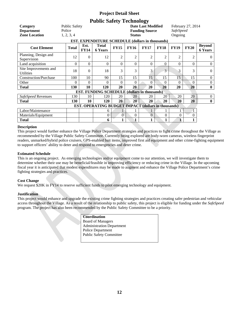## **Public Safety Technology**

| Category<br><b>Department</b><br><b>Zone Location</b> | <b>Public Safety</b><br>Police<br>1, 2, 3, 4               | <b>Date Last Modified</b><br><b>Funding Source</b><br><b>Status</b><br><b>EST. EXPENDITURE SCHEDULE (dollars in thousands)</b> |                                              |                |                |                |                |                | February 27, 2014<br><b>SafeSpeed</b><br>Ongoing |                                 |  |  |  |
|-------------------------------------------------------|------------------------------------------------------------|--------------------------------------------------------------------------------------------------------------------------------|----------------------------------------------|----------------|----------------|----------------|----------------|----------------|--------------------------------------------------|---------------------------------|--|--|--|
| <b>Cost Element</b>                                   | <b>Total</b>                                               | Est.<br><b>FY14</b>                                                                                                            | <b>Total</b><br><b>6 Years</b>               | <b>FY15</b>    | <b>FY16</b>    | <b>FY17</b>    | <b>FY18</b>    | <b>FY19</b>    | <b>FY20</b>                                      | <b>Beyond</b><br><b>6 Years</b> |  |  |  |
| Planning, Design and<br>Supervision                   | 12                                                         | $\theta$                                                                                                                       | 12                                           | $\overline{2}$ | $\overline{2}$ | $\overline{2}$ | $\overline{2}$ | $\overline{2}$ | $\overline{2}$                                   | $\Omega$                        |  |  |  |
| Land acquisition                                      | 0                                                          | $\theta$                                                                                                                       | $\Omega$                                     | $\theta$       | $\Omega$       | $\Omega$       | $\Omega$       | 0              | $\Omega$                                         | $\overline{0}$                  |  |  |  |
| Site Improvements and<br><b>Utilities</b>             | 18                                                         | $\Omega$                                                                                                                       | 18                                           | 3              | 3              | 3              | 3              | 3              | 3                                                | $\Omega$                        |  |  |  |
| <b>Construction/Purchase</b>                          | 100                                                        | 10                                                                                                                             | 90                                           | 15             | 15             | 15             | 15             | 15             | 15                                               | $\mathbf{0}$                    |  |  |  |
| Other                                                 | 0                                                          | $\theta$                                                                                                                       | $\Omega$                                     | $\Omega$       | 0              | 0              | $\theta$       | $\Omega$       | $\Omega$                                         | $\boldsymbol{0}$                |  |  |  |
| <b>Total</b>                                          | 130                                                        | 10                                                                                                                             | 120                                          | 20             | 20             | 20             | 20             | 20             | 20                                               | $\bf{0}$                        |  |  |  |
|                                                       |                                                            |                                                                                                                                | EST. FUNDING SCHEDULE (dollars in thousands) |                |                |                |                |                |                                                  |                                 |  |  |  |
| SafeSpeed Revenues                                    | 130                                                        | 10                                                                                                                             | 120                                          | 20             | 20             | 20             | 20             | 20             | 20                                               | $\overline{0}$                  |  |  |  |
| <b>Total</b>                                          | 130                                                        | 10                                                                                                                             | 120                                          | 20             | 20             | 20             | 20             | 20             | 20                                               | $\bf{0}$                        |  |  |  |
|                                                       | <b>EST. OPERATING BUDGET IMPACT (dollars in thousands)</b> |                                                                                                                                |                                              |                |                |                |                |                |                                                  |                                 |  |  |  |
| Labor/Maintenance                                     |                                                            |                                                                                                                                | 6                                            |                |                |                |                |                |                                                  |                                 |  |  |  |
| Materials/Equipment                                   |                                                            |                                                                                                                                | $\overline{0}$                               | $\overline{0}$ | $\Omega$       | $\Omega$       | $\overline{0}$ | $\overline{0}$ | 0                                                |                                 |  |  |  |
| <b>Total</b>                                          |                                                            |                                                                                                                                | 6                                            |                |                |                | 1              | $\mathbf{1}$   |                                                  |                                 |  |  |  |

#### **Description**

This project would further enhance the Village Police Department strategies and practices to fight crime throughout the Village as recommended by the Village Public Safety Committee. Currently being explored are body-worn cameras, wireless fingerprint readers, unmarked/hybrid police cruisers, GPS-enabled bait items, improved first aid equipment and other crime-fighting equipment to support officers' ability to deter and respond to emergencies and deter crime.

#### **Estimated Schedule**

This is an ongoing project. As emerging technologies and/or equipment come to our attention, we will investigate them to determine whether their use may be beneficial/feasible in improving efficiency or reducing crime in the Village. In the upcoming fiscal year it is anticipated that modest expenditures may be made to augment and enhance the Village Police Department's crime fighting strategies and practices.

#### **Cost Change**

We request \$20K in FY14 to reserve sufficient funds to pilot emerging technology and equipment.

#### **Justification**

This project would enhance and upgrade the existing crime fighting strategies and practices creating safer pedestrian and vehicular access throughout the Village. As a result of the relationship to public safety, this project is eligible for funding under the *SafeSpeed*  program. The project has also been recommended by the Public Safety Committee to be a priority.

| Coordination                     |
|----------------------------------|
| <b>Board of Managers</b>         |
| <b>Administration Department</b> |
| Police Department                |
| Public Safety Committee          |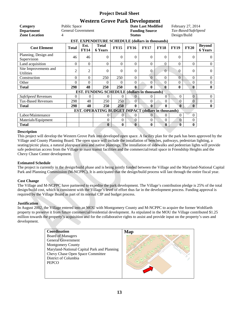## **Western Grove Park Development**

| Western Grove Park Development                          |                           |                     |                                                     |              |               |                           |                  |                     |                |                                 |  |  |
|---------------------------------------------------------|---------------------------|---------------------|-----------------------------------------------------|--------------|---------------|---------------------------|------------------|---------------------|----------------|---------------------------------|--|--|
| Category                                                | Public Space              |                     |                                                     |              |               | <b>Date Last Modified</b> |                  | February 27, 2014   |                |                                 |  |  |
| <b>Department</b>                                       | <b>General Government</b> |                     |                                                     |              |               | <b>Funding Source</b>     |                  | Tax-Based/SafeSpeed |                |                                 |  |  |
| <b>Zone Location</b>                                    | 4                         |                     |                                                     |              | <b>Status</b> |                           |                  | Design/Build        |                |                                 |  |  |
| <b>EST. EXPENDITURE SCHEDULE (dollars in thousands)</b> |                           |                     |                                                     |              |               |                           |                  |                     |                |                                 |  |  |
| <b>Cost Element</b>                                     | <b>Total</b>              | Est.<br><b>FY14</b> | <b>Total</b><br><b>6 Years</b>                      | <b>FY15</b>  | <b>FY16</b>   | <b>FY17</b>               | <b>FY18</b>      | <b>FY19</b>         | <b>FY20</b>    | <b>Beyond</b><br><b>6 Years</b> |  |  |
| Planning, Design and<br>Supervision                     | 46                        | 46                  | $\theta$                                            | $\Omega$     | $\mathbf{0}$  | $\theta$                  | 0                | $\Omega$            | $\theta$       | $\overline{0}$                  |  |  |
| Land acquisition                                        | $\Omega$                  | $\Omega$            | $\theta$                                            | $\Omega$     | $\theta$      | $\theta$                  | $\theta$         | $\Omega$            | $\theta$       | $\theta$                        |  |  |
| Site Improvements and<br><b>Utilities</b>               | 2                         | 2                   | 0                                                   | $\Omega$     | $\Omega$      | $\Omega$                  | $\boldsymbol{0}$ | $\Omega$            | $\Omega$       | $\Omega$                        |  |  |
| Construction                                            | $\Omega$                  | 0                   | 250                                                 | 250          | $\theta$      | $\overline{0}$            | $\overline{0}$   | $\overline{0}$      | $\Omega$       | $\Omega$                        |  |  |
| Other                                                   | 0                         | 0                   | 0                                                   | 0            | $\theta$      | $\Omega$                  | $\boldsymbol{0}$ | 0                   | $\Omega$       | $\overline{0}$                  |  |  |
| <b>Total</b>                                            | 298                       | 48                  | 250                                                 | 250          | 0             | 0                         | 0                | $\bf{0}$            | $\mathbf{0}$   | $\mathbf{0}$                    |  |  |
|                                                         |                           |                     | EST. FUNDING SCHEDULE (dollars in thousands)        |              |               |                           |                  |                     |                |                                 |  |  |
| SafeSpeed Revenues                                      | $\theta$                  | $\theta$            | $\theta$                                            | $\Omega$     | $\Omega$      | $\Omega$                  | $\overline{0}$   | $\Omega$            | $\overline{0}$ | $\overline{0}$                  |  |  |
| <b>Tax-Based Revenues</b>                               | 298                       | 48                  | 250                                                 | 250          | $\Omega$      | $\Omega$                  | $\theta$         | $\Omega$            | $\overline{0}$ | $\overline{0}$                  |  |  |
| <b>Total</b>                                            | 298                       | 48                  | 250                                                 | 250          | $\bf{0}$      | $\mathbf{0}$              | $\mathbf{0}$     | $\mathbf{0}$        | $\mathbf{0}$   | $\bf{0}$                        |  |  |
|                                                         |                           |                     | EST. OPERATING BUDGET IMPACT (dollars in thousands) |              |               |                           |                  |                     |                |                                 |  |  |
| Labor/Maintenance                                       |                           |                     | $\theta$                                            | $\mathbf{0}$ | $\Omega$      | $\Omega$                  | $\mathbf{0}$     | $\overline{0}$      | $\overline{0}$ |                                 |  |  |
| Materials/Equipment                                     |                           |                     | $\theta$                                            | $\mathbf{0}$ | $\theta$      | $\Omega$                  | $\boldsymbol{0}$ | $\mathbf{0}$        | $\overline{0}$ |                                 |  |  |
| <b>Total</b>                                            |                           |                     | $\mathbf{0}$                                        | $\mathbf{0}$ | $\mathbf{0}$  | 0                         | $\bf{0}$         | $\mathbf{0}$        | $\mathbf{0}$   |                                 |  |  |

#### **Description**

This project will develop the Western Grove Park into developed open space. A facility plan for the park has been approved by the Village and County Planning Board. The open space will include the installation of benches, pathways, pedestrian lighting, a seating/picnic plaza, a natural playspace area and native plantings. The installation of sidewalks and pedestrian lights will provide safe pedestrian access from the Village to mass transit facilities and the commercial/retail space in Friendship Heights and the Chevy Chase Center development.

#### **Estimated Schedule**

The project is currently in the design/build phase and is being jointly funded between the Village and the Maryland-National Capital Park and Planning Commission (M-NCPPC). It is anticipated that the design/build process will last through the entire fiscal year.

#### **Cost Change**

The Village and M-NCPPC have partnered to expedite the park development. The Village's contribution pledge is 25% of the total design/build cost, which is consistent with the Village's level of effort thus far in the development process. Funding approval is required by the Village Board as part of its normal CIP and budget process.

#### **Justification**

In August 2002, the Village entered into an MOU with Montgomery County and M-NCPPC to acquire the former Wohlfarth property to preserve it from future commercial/residential development. As stipulated in the MOU the Village contributed \$1.25 million towards the property's acquisition and for the collaborative rights to assist and provide input on the property's uses and development.

| Coordination                                | Map |
|---------------------------------------------|-----|
| <b>Board of Managers</b>                    |     |
| <b>General Government</b>                   |     |
| <b>Montgomery County</b>                    |     |
| Maryland-National Capital Park and Planning |     |
| Chevy Chase Open Space Committee            |     |
| District of Columbia                        |     |
| <b>PEPCO</b>                                |     |
|                                             |     |
|                                             |     |
|                                             |     |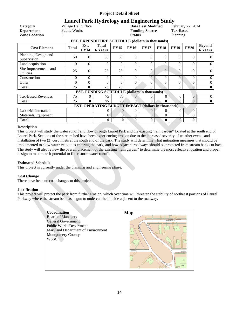## **Laurel Park Hydrology and Engineering Study**<br>Village Hall/Office **Date Last Modified**

**Category Village Hall/Office <b>Date Last Modified** February 27, 2014<br> **Department** Public Works **Funding Source** Tax-Based **Department** Public Works **Funding Source** Tax-Based **Zone Location** 3 **Status** Planning

| EST. EXPENDITURE SCHEDULE (dollars in thousands)           |              |                     |                                                     |             |              |             |                |              |                |                                 |  |  |  |
|------------------------------------------------------------|--------------|---------------------|-----------------------------------------------------|-------------|--------------|-------------|----------------|--------------|----------------|---------------------------------|--|--|--|
| <b>Cost Element</b>                                        | <b>Total</b> | Est.<br><b>FY14</b> | <b>Total</b><br><b>6 Years</b>                      | <b>FY15</b> | <b>FY16</b>  | <b>FY17</b> | <b>FY18</b>    | <b>FY19</b>  | <b>FY20</b>    | <b>Beyond</b><br><b>6 Years</b> |  |  |  |
| Planning, Design and<br>Supervision                        | 50           | $\theta$            | 50                                                  | 50          | $\Omega$     | $\Omega$    | $\overline{0}$ | $\Omega$     | $\Omega$       | $\theta$                        |  |  |  |
| Land acquisition                                           | $\theta$     | $\Omega$            | $\overline{0}$                                      | $\Omega$    | $\Omega$     | $\Omega$    | $\overline{0}$ | $\Omega$     | $\Omega$       | $\overline{0}$                  |  |  |  |
| Site Improvements and<br><b>Utilities</b>                  | 25           | $\Omega$            | 25                                                  | 25          | $\Omega$     | 0           | $\overline{0}$ | $\Omega$     | $\Omega$       | $\Omega$                        |  |  |  |
| Construction                                               | $\theta$     | $\Omega$            | $\Omega$                                            | $\Omega$    | $\Omega$     | $\Omega$    | $\Omega$       | $\Omega$     | $\Omega$       | $\Omega$                        |  |  |  |
| Other                                                      | $\theta$     | $\Omega$            | $\Omega$                                            | $\Omega$    | 0            | 0           | $\Omega$       | $\Omega$     | 0              | $\mathbf{0}$                    |  |  |  |
| <b>Total</b>                                               | 75           | $\mathbf{0}$        | 75                                                  | 75          | 0            | 0           | $\mathbf{0}$   | $\bf{0}$     | $\bf{0}$       | $\bf{0}$                        |  |  |  |
|                                                            |              |                     | <b>EST. FUNDING SCHEDULE (dollars in thousands)</b> |             |              |             |                |              |                |                                 |  |  |  |
| <b>Tax-Based Revenues</b>                                  | 75           | $\Omega$            | 75                                                  | 75          | $\Omega$     |             | $\Omega$       | $\Omega$     | $\overline{0}$ | $\overline{0}$                  |  |  |  |
| <b>Total</b>                                               | 75           | $\mathbf{0}$        | 75                                                  | 75          | $\mathbf{0}$ | 0           | $\mathbf{0}$   | 0            | $\mathbf{0}$   | $\mathbf{0}$                    |  |  |  |
| <b>EST. OPERATING BUDGET IMPACT (dollars in thousands)</b> |              |                     |                                                     |             |              |             |                |              |                |                                 |  |  |  |
| Labor/Maintenance                                          |              |                     | $\theta$                                            | $\Omega$    | $\Omega$     | $\Omega$    | $\Omega$       | $\theta$     | $\theta$       |                                 |  |  |  |
| Materials/Equipment                                        |              |                     | $\theta$                                            | $\Omega$    | 0            | $\Omega$    | $\Omega$       | $\Omega$     | $\Omega$       |                                 |  |  |  |
| <b>Total</b>                                               |              |                     | $\bf{0}$                                            | 0           | 0            | 0           | $\bf{0}$       | $\mathbf{0}$ | $\mathbf{0}$   |                                 |  |  |  |

#### **Description**

This project will study the water runoff and flow through Laurel Park and the existing "rain garden" located at the south end of Laurel Park. Sections of the stream bed have been experiencing erosion due to the increased severity of weather events and installation of two (2) curb inlets at the south end of the park. The study will determine what mitigation measures that should be implemented to slow water velocities entering the park, and how adjacent roadways should be protected from stream bank cut back. The study will also review the overall placement of the existing "rain garden" to determine the most effective location and proper design to maximize it potential to filter storm water runoff.

#### **Estimated Schedule**

This project is currently under the planning and engineering phase.

#### **Cost Change**

There have been no cost changes to this project.

#### **Justification**

This project will protect the park from further erosion, which over time will threaten the stability of northeast portions of Laurel Parkway where the stream bed has begun to undercut the hillside adjacent to the roadway.

| Coordination                       | Map                         |
|------------------------------------|-----------------------------|
| <b>Board of Managers</b>           |                             |
| <b>General Government</b>          | W? MELROSE ST               |
| <b>Public Works Department</b>     |                             |
| Maryland Department of Environment | 10 <sub>10</sub>            |
| <b>Montgomery County</b>           |                             |
| <b>WSSC</b>                        |                             |
|                                    |                             |
|                                    |                             |
|                                    | <b>LENCK ST</b><br>W. LENOX |
|                                    |                             |
|                                    | 5910                        |
|                                    | C. Prince<br>5906           |
|                                    |                             |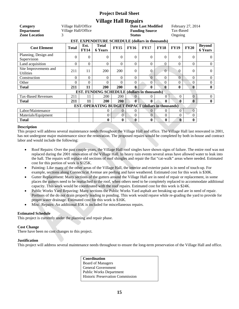## **Village Hall Repairs**

| Category<br><b>Department</b><br><b>Zone Location</b> | Village Hall/Office<br>Village Hall/Office<br>3 |                     |                                                            |                | February 27, 2014<br>Tax-Based<br>Ongoing |                |                |                |                |                                 |  |  |  |
|-------------------------------------------------------|-------------------------------------------------|---------------------|------------------------------------------------------------|----------------|-------------------------------------------|----------------|----------------|----------------|----------------|---------------------------------|--|--|--|
| EST. EXPENDITURE SCHEDULE (dollars in thousands)      |                                                 |                     |                                                            |                |                                           |                |                |                |                |                                 |  |  |  |
| <b>Cost Element</b>                                   | <b>Total</b>                                    | Est.<br><b>FY14</b> | <b>Total</b><br><b>6 Years</b>                             | <b>FY15</b>    | <b>FY16</b>                               | <b>FY17</b>    | <b>FY18</b>    | <b>FY19</b>    | <b>FY20</b>    | <b>Beyond</b><br><b>6 Years</b> |  |  |  |
| Planning, Design and<br>Supervision                   | $\theta$                                        | $\Omega$            | $\mathbf{0}$                                               | $\theta$       | $\Omega$                                  | $\Omega$       | $\theta$       | $\theta$       | 0              | $\overline{0}$                  |  |  |  |
| Land acquisition                                      | $\theta$                                        | $\Omega$            | $\Omega$                                                   | 0              | $\Omega$                                  | $\Omega$       | $\Omega$       | $\Omega$       | 0              | $\overline{0}$                  |  |  |  |
| Site Improvements and<br><b>Utilities</b>             | 211                                             | 11                  | 200                                                        | 200            | $\Omega$                                  | $\Omega$       | $\overline{0}$ | $\Omega$       | 0              | $\Omega$                        |  |  |  |
| Construction                                          | $\theta$                                        | $\Omega$            | $\Omega$                                                   | 0              | 0                                         | $\Omega$       | $\Omega$       | $\Omega$       | 0              | $\boldsymbol{0}$                |  |  |  |
| Other                                                 | $\theta$                                        | $\Omega$            | $\Omega$                                                   | 0              | 0                                         | 0              | 0              | $\Omega$       | 0              | $\mathbf{0}$                    |  |  |  |
| <b>Total</b>                                          | 211                                             | 11                  | <b>200</b>                                                 | <b>200</b>     | 0                                         | 0              | $\mathbf{0}$   | $\mathbf{0}$   | $\bf{0}$       | $\bf{0}$                        |  |  |  |
|                                                       |                                                 |                     | <b>EST. FUNDING SCHEDULE (dollars in thousands)</b>        |                |                                           |                |                |                |                |                                 |  |  |  |
| <b>Tax-Based Revenues</b>                             | 211                                             | 11                  | 200                                                        | 200            | $\Omega$                                  | 0              | $\theta$       | $\overline{0}$ | $\overline{0}$ | $\boldsymbol{0}$                |  |  |  |
| <b>Total</b>                                          | 211                                             | 11                  | 200                                                        | 200            | 0                                         | 0              | 0              | 0              | $\mathbf{0}$   | $\bf{0}$                        |  |  |  |
|                                                       |                                                 |                     | <b>EST. OPERATING BUDGET IMPACT (dollars in thousands)</b> |                |                                           |                |                |                |                |                                 |  |  |  |
| Labor/Maintenance                                     |                                                 |                     | $\Omega$                                                   | 0              | 0                                         | $\theta$       | 0              | $\overline{0}$ | $\theta$       |                                 |  |  |  |
| Materials/Equipment                                   |                                                 |                     | $\theta$                                                   | $\overline{0}$ | 0                                         | $\overline{0}$ | $\theta$       | 0              | 0              |                                 |  |  |  |
| <b>Total</b>                                          |                                                 |                     | $\bf{0}$                                                   | $\bf{0}$       | 0                                         | 0              | $\mathbf{0}$   | $\mathbf{0}$   | 0              |                                 |  |  |  |

#### **Description**

This project will address several maintenance needs throughout the Village Hall and office. The Village Hall last renovated in 2001, has not undergone major maintenance since the renovation. The proposed repairs would be completed by both in-house and contract labor and would include the following:

- Roof Repairs: Over the past couple years, the Village Hall roof singles have shown signs of failure. The entire roof was not replaced during the 2001 renovation of the Village Hall. In heavy rain events several areas have allowed water to leak into the hall. The repairs will replace old sections of roof shingles and repair the flat "cat-walk" areas where needed. Estimated cost for this portion of work is \$125K.
- Painting: Like many of the other areas of the Village Hall, the interior and exterior paint is in need of touch-up. For example, sections along Connecticut Avenue are peeling and have weathered. Estimated cost for this work is \$30K.
- Gutter Replacement: Many sections of the gutters around the Village Hall are in need of repair or replacement, in some places the gutters need to be reattached to the roof, when others need to be completely replaced to accommodate additional capacity. This work would be coordinated with the roof repairs. Estimated cost for this work is \$24K.
- Public Works Yard Repaving: Many sections the Public Works Yard asphalt are breaking up and are in need of repair. Portions of the do not drain properly leading to ponding. This work would repave while re-grading the yard to provide for proper water drainage. Estimated cost for this work is \$16K.
- Misc. Repairs: An additional \$5K is included for miscellaneous repairs.

#### **Estimated Schedule**

This project is currently under the planning and repair phase.

#### **Cost Change**

There have been no cost changes to this project.

#### **Justification**

This project will address several maintenance needs throughout to ensure the long-term preservation of the Village Hall and office.

**Coordination** Board of Managers General Government Public Works Department Historic Preservation Commission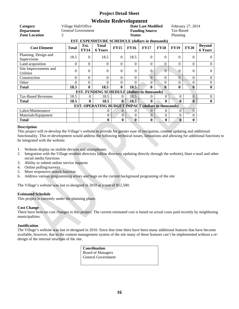## **Website Redevelopment**

| Category<br><b>Department</b><br><b>Zone Location</b>   | Village Hall/Office<br><b>General Government</b><br>3 |                     |                                                            | <b>Status</b>  | <b>Date Last Modified</b><br><b>Funding Source</b> | February 27, 2014<br>Tax-Based<br>Planning |                |                |                |                                 |  |  |  |
|---------------------------------------------------------|-------------------------------------------------------|---------------------|------------------------------------------------------------|----------------|----------------------------------------------------|--------------------------------------------|----------------|----------------|----------------|---------------------------------|--|--|--|
| <b>EST. EXPENDITURE SCHEDULE (dollars in thousands)</b> |                                                       |                     |                                                            |                |                                                    |                                            |                |                |                |                                 |  |  |  |
| <b>Cost Element</b>                                     | <b>Total</b>                                          | Est.<br><b>FY14</b> | <b>Total</b><br><b>6 Years</b>                             | <b>FY15</b>    | <b>FY16</b>                                        | <b>FY17</b>                                | <b>FY18</b>    | <b>FY19</b>    | <b>FY20</b>    | <b>Beyond</b><br><b>6 Years</b> |  |  |  |
| Planning, Design and<br>Supervision                     | 18.5                                                  | $\theta$            | 18.5                                                       | $\Omega$       | 18.5                                               | $\theta$                                   | $\overline{0}$ | $\overline{0}$ | $\Omega$       | $\overline{0}$                  |  |  |  |
| Land acquisition                                        | $\Omega$                                              | $\Omega$            | $\Omega$                                                   | 0              | $\Omega$                                           | $\Omega$                                   | $\Omega$       | $\Omega$       | 0              | $\overline{0}$                  |  |  |  |
| Site Improvements and<br><b>Utilities</b>               | $\overline{0}$                                        | $\theta$            | $\theta$                                                   | 0              | $\Omega$                                           | $\Omega$                                   | $\theta$       | $\Omega$       | 0              | $\overline{0}$                  |  |  |  |
| Construction                                            | 0                                                     | $\Omega$            | $\theta$                                                   | 0              | 0                                                  | $\Omega$                                   | $\Omega$       | $\theta$       | $\Omega$       | $\boldsymbol{0}$                |  |  |  |
| Other                                                   | $\Omega$                                              | $\Omega$            | $\Omega$                                                   | 0              | 0                                                  | 0                                          | $\Omega$       | 0              | 0              | $\overline{0}$                  |  |  |  |
| <b>Total</b>                                            | 18.5                                                  | $\mathbf{0}$        | 18.5                                                       | $\mathbf{0}$   | 18.5                                               | 0                                          | $\mathbf{0}$   | $\bf{0}$       | 0              | $\bf{0}$                        |  |  |  |
|                                                         |                                                       |                     | <b>EST. FUNDING SCHEDULE (dollars in thousands)</b>        |                |                                                    |                                            |                |                |                |                                 |  |  |  |
| <b>Tax-Based Revenues</b>                               | 18.5                                                  | $\Omega$            | 18.5                                                       | $\Omega$       | 18.5                                               |                                            | $\theta$       | $\theta$       | $\overline{0}$ | $\boldsymbol{0}$                |  |  |  |
| <b>Total</b>                                            | 18.5                                                  | 0                   | 18.5                                                       | $\mathbf{0}$   | 18.5                                               | 0                                          | $\mathbf{0}$   | 0              | $\mathbf{0}$   | $\bf{0}$                        |  |  |  |
|                                                         |                                                       |                     | <b>EST. OPERATING BUDGET IMPACT (dollars in thousands)</b> |                |                                                    |                                            |                |                |                |                                 |  |  |  |
| Labor/Maintenance                                       |                                                       |                     | 0                                                          | $\Omega$       | 0                                                  | $\Omega$                                   | $\theta$       | $\overline{0}$ | 0              |                                 |  |  |  |
| Materials/Equipment                                     |                                                       |                     | $\overline{0}$                                             | $\overline{0}$ | $\Omega$                                           | $\theta$                                   | $\theta$       | 0              | 0              |                                 |  |  |  |
| <b>Total</b>                                            |                                                       |                     | $\bf{0}$                                                   | 0              | 0                                                  | 0                                          | $\mathbf{0}$   | $\mathbf{0}$   | 0              |                                 |  |  |  |

#### **Description**

This project will re-develop the Village's website to provide for greater ease of navigation, content updating and additional functionality. This re-development would address the following technical issues, limitations and allowing for additional functions to be integrated with the website:

- 1. Website display on mobile devices and smartphones
- 2. Integration with the Village resident directory (allow directory updating directly through the website), blast e-mail and other social media functions
- 3. Ability to submit online service requests
- 4. Online polling/surveys
- 5. More responsive search function
- 6. Address various programming errors and bugs on the current background programing of the site

The Village's website was last re-designed in 2010 at a cost of \$12,500.

#### **Estimated Schedule**

This project is currently under the planning phase.

#### **Cost Change**

There have been no cost changes to this project. The current estimated cost is based on actual costs paid recently by neighboring municipalities.

#### **Justification**

The Village's website was last re-designed in 2010. Since that time there have been many additional features that have become available, however, due to the content management system of the site many of these features can't be implemented without a redesign of the internal structure of the site.

| Coordination             |  |
|--------------------------|--|
| <b>Board of Managers</b> |  |
| General Government       |  |
|                          |  |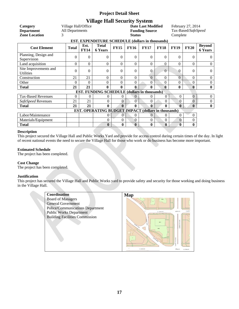## **Village Hall Security System**

| Category                                                   | Village Hall/Office |                                                                                                                                  |                                                     |                | February 27, 2014 |                       |                |                |                     |                                 |  |  |
|------------------------------------------------------------|---------------------|----------------------------------------------------------------------------------------------------------------------------------|-----------------------------------------------------|----------------|-------------------|-----------------------|----------------|----------------|---------------------|---------------------------------|--|--|
| <b>Department</b>                                          | All Departments     |                                                                                                                                  |                                                     |                |                   | <b>Funding Source</b> |                |                | Tax-Based/SafeSpeed |                                 |  |  |
| <b>Zone Location</b>                                       | 3                   |                                                                                                                                  |                                                     |                | <b>Status</b>     |                       |                |                | Complete            |                                 |  |  |
|                                                            |                     |                                                                                                                                  | EST. EXPENDITURE SCHEDULE (dollars in thousands)    |                |                   |                       |                |                |                     |                                 |  |  |
| <b>Cost Element</b>                                        | <b>Total</b>        | <b>Total</b><br>Est.<br><b>FY15</b><br><b>FY16</b><br><b>FY17</b><br><b>FY18</b><br><b>FY19</b><br><b>FY14</b><br><b>6 Years</b> |                                                     |                |                   |                       |                |                |                     | <b>Beyond</b><br><b>6 Years</b> |  |  |
| Planning, Design and<br>Supervision                        | 0                   | $\theta$                                                                                                                         | $\Omega$                                            | $\Omega$       | $\Omega$          | $\Omega$              | $\theta$       | $\Omega$       | $\Omega$            | $\Omega$                        |  |  |
| Land acquisition                                           | 0                   | $\Omega$                                                                                                                         | $\Omega$                                            | $\theta$       | $\Omega$          | $\Omega$              | $\theta$       | $\Omega$       | 0                   | $\overline{0}$                  |  |  |
| Site Improvements and<br><b>Utilities</b>                  | $\theta$            | 0                                                                                                                                | $\Omega$                                            | 0              | $\Omega$          | $\Omega$              | $\overline{0}$ | $\Omega$       | $\Omega$            | $\Omega$                        |  |  |
| Construction                                               | 21                  | 21                                                                                                                               | $\Omega$                                            | $\theta$       | $\Omega$          | $\theta$              | $\theta$       | $\theta$       | $\Omega$            | $\overline{0}$                  |  |  |
| Other                                                      | 0                   | 0                                                                                                                                | $\overline{0}$                                      | $\theta$       | $\Omega$          | $\Omega$              | $\theta$       | $\theta$       | 0                   | $\overline{0}$                  |  |  |
| <b>Total</b>                                               | 21                  | 21                                                                                                                               | $\bf{0}$                                            | 0              | $\mathbf{0}$      | $\mathbf{0}$          | $\mathbf{0}$   | $\mathbf{0}$   | $\bf{0}$            | $\bf{0}$                        |  |  |
|                                                            |                     |                                                                                                                                  | <b>EST. FUNDING SCHEDULE (dollars in thousands)</b> |                |                   |                       |                |                |                     |                                 |  |  |
| <b>Tax-Based Revenues</b>                                  | 0                   | $\theta$                                                                                                                         | 0                                                   | 0              | 0                 |                       | $\theta$       | $\Omega$       | $\theta$            | $\overline{0}$                  |  |  |
| SafeSpeed Revenues                                         | 21                  | 21                                                                                                                               | $\Omega$                                            | 0              | $\theta$          | 0                     | $\Omega$       | 0              | $\Omega$            | $\overline{0}$                  |  |  |
| <b>Total</b>                                               | 21                  | 21                                                                                                                               | $\bf{0}$                                            | $\bf{0}$       | $\bf{0}$          | $\bf{0}$              | $\bf{0}$       | $\mathbf{0}$   | $\mathbf{0}$        | $\bf{0}$                        |  |  |
| <b>EST. OPERATING BUDGET IMPACT (dollars in thousands)</b> |                     |                                                                                                                                  |                                                     |                |                   |                       |                |                |                     |                                 |  |  |
| Labor/Maintenance                                          |                     |                                                                                                                                  | 0                                                   | $\Omega$       | $\theta$          | 0                     | $\Omega$       | $\Omega$       | $\Omega$            |                                 |  |  |
| Materials/Equipment                                        |                     |                                                                                                                                  | 0                                                   | $\overline{0}$ | $\Omega$          | 0                     | $\Omega$       | $\overline{0}$ | $\Omega$            |                                 |  |  |
| <b>Total</b>                                               |                     |                                                                                                                                  | $\bf{0}$                                            | $\bf{0}$       | $\mathbf{0}$      | $\bf{0}$              | $\bf{0}$       | $\bf{0}$       | 0                   |                                 |  |  |

#### **Description**

This project secured the Village Hall and Public Works Yard and provide for access control during certain times of the day. In light of recent national events the need to secure the Village Hall for those who work or do business has become more important.

#### **Estimated Schedule**

The project has been completed.

#### **Cost Change**

The project has been completed.

#### **Justification**

This project has secured the Village Hall and Public Works yard to provide safety and security for those working and doing business in the Village Hall.

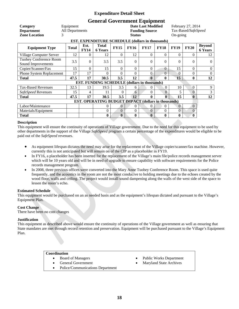## **General Government Equipment**

| Category                                            | Equipment                                                                                           |          |                                                            |                | February 27, 2014 |                     |                |                  |                |                                 |  |  |
|-----------------------------------------------------|-----------------------------------------------------------------------------------------------------|----------|------------------------------------------------------------|----------------|-------------------|---------------------|----------------|------------------|----------------|---------------------------------|--|--|
| <b>Department</b>                                   | All Departments                                                                                     |          |                                                            |                |                   | Tax-Based/SafeSpeed |                |                  |                |                                 |  |  |
| <b>Zone Location</b><br>3                           |                                                                                                     |          |                                                            |                | <b>Status</b>     |                     |                |                  | On-going       |                                 |  |  |
|                                                     |                                                                                                     |          | <b>EST. EXPENDITURE SCHEDULE (dollars in thousands)</b>    |                |                   |                     |                |                  |                |                                 |  |  |
| <b>Equipment Type</b>                               | <b>Total</b><br>Est.<br><b>FY15</b><br><b>FY16</b><br><b>Total</b><br><b>FY14</b><br><b>6 Years</b> |          |                                                            |                |                   |                     |                |                  | <b>FY20</b>    | <b>Beyond</b><br><b>6 Years</b> |  |  |
| Village Computer Server                             | 12                                                                                                  | 0        | 12                                                         | $\Omega$       | 12                | $\Omega$            | $\Omega$       | $\Omega$         | $\Omega$       | 12                              |  |  |
| <b>Tuohey Conference Room</b><br>Sound Improvements | 3.5                                                                                                 | $\Omega$ | 3.5                                                        | 3.5            | $\Omega$          | $\Omega$            | $\theta$       | $\Omega$         | $\Omega$       | $\Omega$                        |  |  |
| Copier/Scanner/Fax                                  | 15                                                                                                  | $\Omega$ | 15                                                         | $\Omega$       | $\Omega$          | $\Omega$            | $\mathbf{0}$   | 15               | $\Omega$       | $\overline{0}$                  |  |  |
| Phone System Replacement                            | 17                                                                                                  | 17       | 0                                                          | $\theta$       | $\Omega$          | $\Omega$            | $\overline{0}$ | $\Omega$         | 0              | $\overline{0}$                  |  |  |
| <b>Total</b>                                        | 47.5                                                                                                | 17       | 30.5                                                       | 3.5            | 12                | $\mathbf{0}$        | 0              | 15               | 0              | 12                              |  |  |
|                                                     |                                                                                                     |          | <b>EST. FUNDING SCHEDULE (dollars in thousands)</b>        |                |                   |                     |                |                  |                |                                 |  |  |
| <b>Tax-Based Revenues</b>                           | 32.5                                                                                                | 13       | 19.5                                                       | 3.5            | 6                 | 0                   | $\Omega$       | 10               | $\Omega$       | 9                               |  |  |
| SafeSpeed Revenues                                  | 15                                                                                                  | 4        | 11                                                         | $\Omega$       | 6                 | 0                   | $\Omega$       | 5                | $\Omega$       | $\mathfrak{Z}$                  |  |  |
| <b>Total</b>                                        | 47.5                                                                                                | 17       | 30.5                                                       | 3.5            | 12                | 0                   | $\mathbf{0}$   | 15               | $\mathbf{0}$   | 12                              |  |  |
|                                                     |                                                                                                     |          | <b>EST. OPERATING BUDGET IMPACT (dollars in thousands)</b> |                |                   |                     |                |                  |                |                                 |  |  |
| Labor/Maintenance                                   |                                                                                                     |          | $\overline{0}$                                             | $\overline{0}$ | $\Omega$          | $\overline{0}$      | $\overline{0}$ | $\theta$         | $\overline{0}$ |                                 |  |  |
| $\overline{0}$<br>Materials/Equipment               |                                                                                                     |          |                                                            | $\Omega$       | $\Omega$          | $\Omega$            | $\overline{0}$ | $\theta$         | $\Omega$       |                                 |  |  |
| <b>Total</b>                                        |                                                                                                     |          | $\boldsymbol{0}$                                           | $\bf{0}$       | $\bf{0}$          | $\mathbf{0}$        | $\bf{0}$       | $\boldsymbol{0}$ | $\bf{0}$       |                                 |  |  |

#### **Description**

This equipment will ensure the continuity of operations of Village government. Due to the need for this equipment to be used by other departments in the support of the Village *SafeSpeed* program a certain percentage of the expenditures would be eligible to be paid out of the *SafeSpeed* revenues.

- As equipment lifespan dictates the need may arise for the replacement of the Village copier/scanner/fax machine. However, currently this is not anticipated but will remain on of the CIP as a placeholder in FY19.
- In FY16, a placeholder has been inserted for the replacement of the Village's main file/police records management server which will be 10 years old and will be in need of upgrade to ensure capability with software requirements for the Police records management program.
- In 2008, three previous offices were converted into the Mary Anne Tuohey Conference Room. This space is used quite frequently, and the acoustics in the room are not the most conducive to holding meetings due to the echoes created by the wood floor, walls and ceiling. The project would install sound dampening along the walls of the west side of the space to lessen the room's echo.

#### **Estimated Schedule**

This equipment would be purchased on an as needed basis and as the equipment's lifespan dictated and pursuant to the Village's Equipment Plan.

#### **Cost Change**

There have been no cost changes

#### **Justification**

This equipment as described above would ensure the continuity of operations of the Village government as well as ensuring that State mandates are met through record retention and preservation. Equipment will be purchased pursuant to the Village's Equipment Plan.

- Board of Managers
- General Government
- Public Works Department
- Maryland State Archives
- Police/Communications Department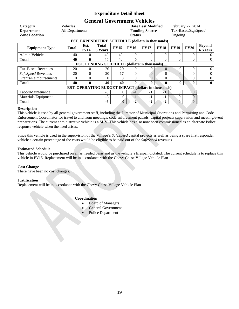## **General Government Vehicles**

| Category<br><b>Department</b><br><b>Zone Location</b>   | <b>Vehicles</b><br>All Departments<br>3 |                     |                                                            |              | <b>Status</b> | <b>Date Last Modified</b><br><b>Funding Source</b> |             | February 27, 2014<br>Tax-Based/SafeSpeed<br>Ongoing |              |                                 |  |
|---------------------------------------------------------|-----------------------------------------|---------------------|------------------------------------------------------------|--------------|---------------|----------------------------------------------------|-------------|-----------------------------------------------------|--------------|---------------------------------|--|
| <b>EST. EXPENDITURE SCHEDULE (dollars in thousands)</b> |                                         |                     |                                                            |              |               |                                                    |             |                                                     |              |                                 |  |
| <b>Equipment Type</b>                                   | <b>Total</b>                            | Est.<br><b>FY14</b> | Total<br><b>6 Years</b>                                    | <b>FY15</b>  | <b>FY16</b>   | <b>FY17</b>                                        | <b>FY18</b> | <b>FY19</b>                                         | <b>FY20</b>  | <b>Beyond</b><br><b>6 Years</b> |  |
| Admin Vehicle                                           | 40                                      | 0                   | 40                                                         | 40           | $\Omega$      | $\Omega$                                           | $\Omega$    | 0                                                   | 0            | $\theta$                        |  |
| <b>Total</b>                                            | 40                                      | 0                   | 40                                                         | 40           | 0             | 0                                                  | $\theta$    | $\Omega$                                            | 0            | $\overline{0}$                  |  |
| <b>EST. FUNDING SCHEDULE (dollars in thousands)</b>     |                                         |                     |                                                            |              |               |                                                    |             |                                                     |              |                                 |  |
| <b>Tax-Based Revenues</b>                               | 20                                      | 0                   | 20                                                         | 20           | $\Omega$      | 0                                                  | $\Omega$    | $\left($                                            | $\Omega$     | $\theta$                        |  |
| SafeSpeed Revenues                                      | 20                                      | 0                   | 20                                                         | 17           | $\Omega$      | 0                                                  | $\Omega$    | $\Omega$                                            | 0            | $\mathbf{0}$                    |  |
| Grants/Reimbursements                                   | $\Omega$                                | $\Omega$            | $\Omega$                                                   | 3            | $\Omega$      | $\Omega$                                           | $\Omega$    | $\Omega$                                            | $\Omega$     | $\Omega$                        |  |
| <b>Total</b>                                            | 40                                      | 0                   | 40                                                         | 40           | $\mathbf{0}$  | 0                                                  | 0           | 0                                                   | 0            | $\bf{0}$                        |  |
|                                                         |                                         |                     | <b>EST. OPERATING BUDGET IMPACT (dollars in thousands)</b> |              |               |                                                    |             |                                                     |              |                                 |  |
| Labor/Maintenance                                       |                                         |                     | $-3$                                                       | 0            | $-1$          | $-1$                                               | $-1$        | 0                                                   | $\Omega$     |                                 |  |
| Materials/Equipment                                     |                                         |                     | $-3$                                                       | $\theta$     | $-1$          | $-1$                                               | $-1$        | $\Omega$                                            | $\Omega$     |                                 |  |
| <b>Total</b>                                            |                                         |                     | -6                                                         | $\mathbf{0}$ | $-2$          | $-2$                                               | $-2$        | 0                                                   | $\mathbf{0}$ |                                 |  |

#### **Description**

This vehicle is used by all general government staff, including the Director of Municipal Operations and Permitting and Code Enforcement Coordinator for travel to and from meetings, code enforcement patrols, capital projects supervision and meeting/event preparations. The current administrative vehicle is a SUV. This vehicle has also now been commissioned as an alternate Police response vehicle when the need arises.

Since this vehicle is used in the supervision of the Village's *SafeSpeed* capital projects as well as being a spare first responder vehicle a certain percentage of the costs would be eligible to be paid out of the *SafeSpeed* revenues.

#### **Estimated Schedule**

This vehicle would be purchased on an as needed basis and as the vehicle's lifespan dictated. The current schedule is to replace this vehicle in FY15. Replacement will be in accordance with the Chevy Chase Village Vehicle Plan.

#### **Cost Change**

There have been no cost changes.

#### **Justification**

Replacement will be in accordance with the Chevy Chase Village Vehicle Plan.

- Board of Managers
- General Government
- Police Department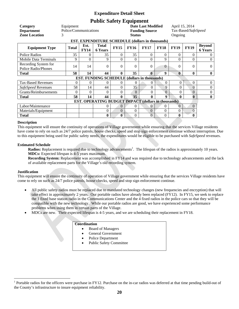## **Public Safety Equipment**

| Category                     | Equipment             |             |                                                            |             |                       | <b>Date Last Modified</b> |                  |              | April 15, 2014      |                |  |  |
|------------------------------|-----------------------|-------------|------------------------------------------------------------|-------------|-----------------------|---------------------------|------------------|--------------|---------------------|----------------|--|--|
| <b>Department</b>            | Police/Communications |             |                                                            |             | <b>Funding Source</b> |                           |                  |              | Tax-Based/SafeSpeed |                |  |  |
| <b>Zone Location</b>         | 3                     |             |                                                            |             |                       | Ongoing                   |                  |              |                     |                |  |  |
|                              |                       |             | <b>EST. EXPENDITURE SCHEDULE (dollars in thousands)</b>    |             |                       |                           |                  |              |                     |                |  |  |
| <b>Equipment Type</b>        | <b>Total</b>          | Est.        | <b>Total</b>                                               | <b>FY15</b> | <b>FY16</b>           | <b>FY17</b>               | <b>FY18</b>      | <b>FY19</b>  | <b>FY19</b>         | <b>Beyond</b>  |  |  |
|                              |                       | <b>FY14</b> | <b>6 Years</b>                                             |             |                       |                           |                  |              |                     | <b>6 Years</b> |  |  |
| Police Radios                | 35                    | $\Omega$    | 35                                                         | $\Omega$    | 35                    | $\Omega$                  | $\Omega$         | $\Omega$     | $\Omega$            | $\theta$       |  |  |
| <b>Mobile Data Terminals</b> | 9                     | 0           | 9                                                          | $\Omega$    | $\Omega$              | 0                         | 9                | 0            | $\Omega$            | $\overline{0}$ |  |  |
| Recording System for         | 14                    | 14          |                                                            | $\Omega$    | $\Omega$              | $\Omega$                  | $\overline{0}$   |              | $\Omega$            | $\theta$       |  |  |
| <b>Police Radio/Phones</b>   |                       |             | 0                                                          |             |                       |                           |                  | 0            |                     |                |  |  |
| <b>Total</b>                 | 58                    | 14          | 44                                                         | $\bf{0}$    | 35                    | 0                         | 9                | $\mathbf{0}$ | 0                   | $\bf{0}$       |  |  |
|                              |                       |             | EST. FUNDING SCHEDULE (dollars in thousands)               |             |                       |                           |                  |              |                     |                |  |  |
| <b>Tax-Based Revenues</b>    | $\Omega$              | 0           | 0                                                          | $\Omega$    | 0                     | 0                         | $\theta$         | $\theta$     | $\Omega$            | $\overline{0}$ |  |  |
| SafeSpeed Revenues           | 58                    | 14          | 44                                                         | $\Omega$    | 35                    | 0                         | 9                | 0            | $\Omega$            | $\mathbf{0}$   |  |  |
| Grants/Reimbursements        | $\Omega$              | $\theta$    | 0                                                          | $\Omega$    | $\Omega$              | 0                         | $\Omega$         | $\Omega$     | $\Omega$            | $\overline{0}$ |  |  |
| <b>Total</b>                 | 58                    | 14          | 44                                                         | $\bf{0}$    | 35                    | 0                         | 9                | 0            | $\mathbf{0}$        | $\mathbf{0}$   |  |  |
|                              |                       |             | <b>EST. OPERATING BUDGET IMPACT (dollars in thousands)</b> |             |                       |                           |                  |              |                     |                |  |  |
| Labor/Maintenance            |                       |             | 0                                                          | $\Omega$    | $\Omega$              | $\Omega$                  | $\Omega$         | $\Omega$     | $\Omega$            |                |  |  |
| Materials/Equipment          |                       |             | 0                                                          | $\theta$    | $\mathbf{0}$          | $\Omega$                  | $\mathbf{0}$     | 0            | $\theta$            |                |  |  |
| <b>Total</b>                 |                       |             | $\bf{0}$                                                   | $\bf{0}$    | $\Omega$              | $\overline{0}$            | $\boldsymbol{0}$ | $\bf{0}$     | 0                   |                |  |  |

#### **Description**

This equipment will ensure the continuity of operations of Village government while ensuring that the services Village residents have come to rely on such as 24/7 police patrols, house checks, speed and stop sign enforcement continue without interruption. Due to this equipment being used for public safety needs, the expenditures would be eligible to be purchased with *SafeSpeed* revenues.

#### **Estimated Schedule**

**Radios:** Replacement is required due to technology advancements<sup>1</sup>. The lifespan of the radios is approximately 10 years. **MDCs:** Expected lifespan is 4-5 years maximum.

**Recording System:** Replacement was accomplished in FY14 and was required due to technology advancements and the lack of available replacement parts for the Village's old recording system.

#### **Justification**

 $\overline{a}$ 

This equipment will ensure the continuity of operation of Village government while ensuring that the services Village residents have come to rely on such as 24/7 police patrols, house checks, speed and stop sign enforcement continue.

- All public safety radios must be replaced due to mandated technology changes (new frequencies and encryption) that will take effect in approximately 2 years. Our portable radios have already been replaced (FY12). In FY15, we seek to replace the 1 fixed base station radio in the Communications Center and the 4 fixed radios in the police cars so that they will be compatible with the new technology. While our portable radios are good, we have experienced some performance problems when using them in certain parts of the Village.
- MDCs are new. Their expected lifespan is 4-5 years, and we are scheduling their replacement in FY18.

- Board of Managers
- General Government
- Police Department
- Public Safety Committee

<sup>&</sup>lt;sup>1</sup> Portable radios for the officers were purchase in FY12. Purchase on the in-car radios was deferred at that time pending build-out of the County's infrastructure to insure equipment reliability.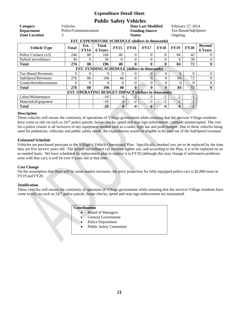## **Public Safety Vehicles**

| Category                                                   | Vehicles              |                                                                                                                           |                                                         |                |                       | <b>Date Last Modified</b> |          |          | February 27, 2014   |                                 |  |  |
|------------------------------------------------------------|-----------------------|---------------------------------------------------------------------------------------------------------------------------|---------------------------------------------------------|----------------|-----------------------|---------------------------|----------|----------|---------------------|---------------------------------|--|--|
| <b>Department</b>                                          | Police/Communications |                                                                                                                           |                                                         |                | <b>Funding Source</b> |                           |          |          | Tax-Based/SafeSpeed |                                 |  |  |
| <b>Zone Location</b>                                       | 3                     |                                                                                                                           |                                                         |                |                       | Ongoing                   |          |          |                     |                                 |  |  |
|                                                            |                       |                                                                                                                           | <b>EST. EXPENDITURE SCHEDULE (dollars in thousands)</b> |                |                       |                           |          |          |                     |                                 |  |  |
| <b>Vehicle Type</b>                                        | Total                 | <b>Total</b><br>Est.<br><b>FY15</b><br><b>FY19</b><br><b>FY16</b><br><b>FY17</b><br><b>FY18</b><br>FY14<br><b>6 Years</b> |                                                         |                |                       |                           |          |          | <b>FY20</b>         | <b>Beyond</b><br><b>6 Years</b> |  |  |
| Police Cruisers (x3)                                       | 246                   | 80                                                                                                                        | 166                                                     | 40             | $\Omega$              | $\Omega$                  | $\theta$ | 84       | 42                  | $\theta$                        |  |  |
| Hybrid surveillance                                        | 30                    | 0                                                                                                                         | 30                                                      | $\Omega$       | $\Omega$              | 0                         | $\theta$ |          | 30                  | $\mathbf{0}$                    |  |  |
| <b>Total</b>                                               | 276                   | 80                                                                                                                        | 196                                                     | 40             | 0                     | $\mathbf{0}$              | 0        | 84       | 72                  | $\mathbf{0}$                    |  |  |
| <b>EST. FUNDING SCHEDULE (dollars in thousands)</b>        |                       |                                                                                                                           |                                                         |                |                       |                           |          |          |                     |                                 |  |  |
| <b>Tax-Based Revenues</b>                                  | 0                     | 0                                                                                                                         | 0                                                       | $\theta$       | $\Omega$              | $\theta$                  | $\Omega$ | $\Omega$ | $\Omega$            | $\overline{0}$                  |  |  |
| SafeSpeed Revenues                                         | 276                   | 80                                                                                                                        | 196                                                     | 40             | $\Omega$              | $\Omega$                  | $\Omega$ | 84       | 72                  | $\mathbf{0}$                    |  |  |
| Grants/Reimbursements                                      | 0                     | 0                                                                                                                         | $\Omega$                                                | $\Omega$       | $\Omega$              | 0                         | 0        | $\Omega$ | $\Omega$            | $\Omega$                        |  |  |
| <b>Total</b>                                               | 276                   | 80                                                                                                                        | 196                                                     | 40             | $\mathbf{0}$          | 0                         | 0        | 84       | 72                  | $\bf{0}$                        |  |  |
| <b>EST. OPERATING BUDGET IMPACT (dollars in thousands)</b> |                       |                                                                                                                           |                                                         |                |                       |                           |          |          |                     |                                 |  |  |
| Labor/Maintenance                                          |                       |                                                                                                                           | $-10$                                                   | 0              | $-2$                  | $-3$                      | $-2$     | $-2$     | $-1$                |                                 |  |  |
| Materials/Equipment                                        |                       |                                                                                                                           | $-10$                                                   | $\overline{0}$ | $-2$                  | $-3$                      | $-2$     | $-2$     | $-1$                |                                 |  |  |
| <b>Total</b>                                               |                       |                                                                                                                           | $-20$                                                   | $\bf{0}$       | -4                    | -6                        | $-4$     | $-4$     | $-2$                |                                 |  |  |

#### **Description**

These vehicles will ensure the continuity of operations of Village government while ensuring that the services Village residents have come to rely on such as 24/7 police patrols, house checks, speed and stop sign enforcement, continue uninterrupted. The cost for a police cruiser is all inclusive of any equipment needed such as a radio, light bar and push bumper. Due to these vehicles being used for pedestrian, vehicular and public safety needs, the expenditures would be eligible to be paid out of the *SafeSpeed* revenues.

#### **Estimated Schedule**

Vehicles are purchased pursuant to the Village's Vehicle Operational Plan. Specifically, marked cars are to be replaced by the time they are five service years old. The hybrid surveillance car receives lighter use, and according to the Plan, it is to be replaced on an as-needed basis. We have scheduled its replacement plan to replace it in FY20 (although this may change if unforeseen problems arise with that car); it will be over 9 years old at that time.

#### **Cost Change**

On the assumption that there will be some market increases, the price projection for fully-equipped police cars is \$2,000 more in FY19 and FY20.

#### **Justification**

These vehicles will ensure the continuity of operation of Village government while ensuring that the services Village residents have come to rely on such as 24/7 police patrols, house checks, speed and stop sign enforcement are maintained.

- Board of Managers
- General Government
- Police Department
- Public Safety Committee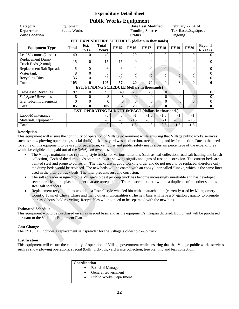## **Public Works Equipment**

| Category<br><b>Department</b><br><b>Zone Location</b><br>3 | Equipment<br><b>Public Works</b> | EST. EXPENDITURE SCHEDULE (dollars in thousands)                                                                                 | <b>Date Last Modified</b><br><b>Funding Source</b><br><b>Status</b> |          |          |                |                  |                |                | February 27, 2014<br>Tax-Based/SafeSpeed<br>Ongoing |  |  |
|------------------------------------------------------------|----------------------------------|----------------------------------------------------------------------------------------------------------------------------------|---------------------------------------------------------------------|----------|----------|----------------|------------------|----------------|----------------|-----------------------------------------------------|--|--|
|                                                            |                                  |                                                                                                                                  |                                                                     |          |          |                |                  |                |                |                                                     |  |  |
| <b>Equipment Type</b>                                      | <b>Total</b>                     | <b>Total</b><br>Est.<br><b>FY15</b><br><b>FY16</b><br><b>FY17</b><br><b>FY18</b><br><b>FY19</b><br><b>FY14</b><br><b>6 Years</b> |                                                                     |          |          |                |                  |                |                | <b>Beyond</b><br><b>6 Years</b>                     |  |  |
| Leaf Vacuums (2 total)                                     | 40                               | $\Omega$                                                                                                                         | 40                                                                  | 0        | 20       | 20             | $\Omega$         | $\Omega$       | 0              | $\Omega$                                            |  |  |
| Replacement Dump<br>Truck Beds (2 total)                   | 15                               | $\Omega$                                                                                                                         | 15                                                                  | 15       | $\Omega$ | $\Omega$       | $\Omega$         | $\Omega$       | 0              | $\overline{0}$                                      |  |  |
| Replacement Salt Spreader                                  | 6                                | $\theta$                                                                                                                         | 6                                                                   | 6        | $\theta$ | 0              | $\Omega$         | $\Omega$       | 0              | $\overline{0}$                                      |  |  |
| Water tank                                                 | 8                                | $\boldsymbol{0}$                                                                                                                 | 8                                                                   | $\theta$ | $\theta$ | $\mathbf{0}$   | $\boldsymbol{0}$ | 8              | $\theta$       | $\boldsymbol{0}$                                    |  |  |
| Recycling Bins                                             | 36                               | $\theta$                                                                                                                         | 36                                                                  | 36       | $\Omega$ | $\overline{0}$ | $\theta$         | $\Omega$       | $\theta$       | $\boldsymbol{0}$                                    |  |  |
| <b>Total</b>                                               | 105                              | $\mathbf{0}$                                                                                                                     | 105                                                                 | 57       | 20       | 20             | 0                | 8              | 0              | $\bf{0}$                                            |  |  |
|                                                            |                                  |                                                                                                                                  | <b>EST. FUNDING SCHEDULE (dollars in thousands)</b>                 |          |          |                |                  |                |                |                                                     |  |  |
| <b>Tax-Based Revenues</b>                                  | 97                               | $\theta$                                                                                                                         | 97                                                                  | 49       | 20       | 20             | $\theta$         | 8              | $\overline{0}$ | $\boldsymbol{0}$                                    |  |  |
| SafeSpeed Revenues                                         | 8                                | $\theta$                                                                                                                         | 8                                                                   | 8        | $\Omega$ | 0              | $\theta$         | $\overline{0}$ | $\overline{0}$ | $\Omega$                                            |  |  |
| Grants/Reimbursements                                      | $\theta$                         | $\theta$                                                                                                                         | $\theta$                                                            | $\theta$ | $\Omega$ | 0              | $\theta$         | 0              | $\theta$       | $\boldsymbol{0}$                                    |  |  |
| <b>Total</b>                                               | 105                              | $\bf{0}$                                                                                                                         | 105                                                                 | 57       | 20       | 20             | 0                | 8              | $\mathbf{0}$   | $\bf{0}$                                            |  |  |
| <b>EST. OPERATING BUDGET IMPACT (dollars in thousands)</b> |                                  |                                                                                                                                  |                                                                     |          |          |                |                  |                |                |                                                     |  |  |
| Labor/Maintenance                                          |                                  |                                                                                                                                  | -6                                                                  | $\Omega$ | $-1$     | $-1.5$         | $-1.5$           | $-1$           | $-1$           |                                                     |  |  |
| Materials/Equipment                                        |                                  |                                                                                                                                  | $-3$                                                                | $-0$     | $-0.5$   | $-0.5$         | $-1$             | $-0.5$         | $-0.5$         |                                                     |  |  |
| <b>Total</b>                                               |                                  |                                                                                                                                  | $-9$                                                                | $-0$     | $-1.5$   | $-2$           | $-2.5$           | $-1.5$         | $-1.5$         |                                                     |  |  |

#### **Description**

This equipment will ensure the continuity of operation of Village government while ensuring that Village public works services such as snow plowing operations, special (bulk) pick-ups, yard waste collection, tree planting and leaf collection. Due to the need for some of this equipment to be used for pedestrian, vehicular and public safety needs a certain percentage of the expenditures would be eligible to be paid out of the *SafeSpeed* revenues.

- The Village maintains two (2) dump style trucks for various functions (such as leaf collection, road salt hauling and brush collection). Both of the dump beds on the truck are showing significant signs of rust and corrosion. The current beds are painted steel and prone to corrosion. The trucks are in good working order and do not need to be replaced, therefore only the dump beds would be replaced. The new beds will be coated with an epoxy liner called "linex", which is the same liner used in the pick-up truck beds. The liner prevents rust and corrosion.
- The salt spreader assigned to the Village's oldest pick-up truck has become increasingly unreliable and has developed several cracks in the plastic hopper that are unrepairable. The replacement until will be a duplicate of the other stainless steel salt spreaders.
- Replacement recycling bins would be a "toter" style wheeled bin with an attached lid (currently used by Montgomery County, Town of Chevy Chase and many other municipalities). The new bins will have a 64-gallon capacity to promote increased household recycling. Recyclables will not need to be separated with the new bins.

#### **Estimated Schedule**

This equipment would be purchased on an as needed basis and as the equipment's lifespan dictated. Equipment will be purchased pursuant to the Village's Equipment Plan.

#### **Cost Change**

The FY15 CIP includes a replacement salt spreader for the Village's oldest pick-up truck.

#### **Justification**

This equipment will ensure the continuity of operation of Village government while ensuring that that Village public works services such as snow plowing operations, special (bulk) pick-ups, yard waste collection, tree planting and leaf collection.

- Board of Managers
- General Government
- Public Works Department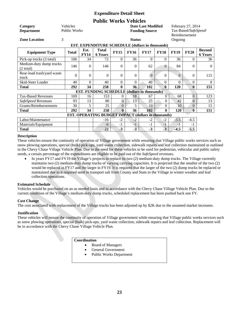## **Public Works Vehicles**

| Category                                            | Vehicles<br>February 27, 2014<br><b>Date Last Modified</b> |                                                                                                                                  |                                                     |              |               |                       |                |          |                      |                                 |  |  |  |
|-----------------------------------------------------|------------------------------------------------------------|----------------------------------------------------------------------------------------------------------------------------------|-----------------------------------------------------|--------------|---------------|-----------------------|----------------|----------|----------------------|---------------------------------|--|--|--|
| <b>Department</b>                                   | <b>Public Works</b>                                        |                                                                                                                                  |                                                     |              |               | <b>Funding Source</b> |                |          | Tax-Based/SafeSpeed/ |                                 |  |  |  |
|                                                     |                                                            |                                                                                                                                  |                                                     |              |               |                       |                |          | Reimbursement        |                                 |  |  |  |
| <b>Zone Location</b>                                | 3                                                          |                                                                                                                                  |                                                     |              | <b>Status</b> |                       |                | Ongoing  |                      |                                 |  |  |  |
|                                                     |                                                            | <b>EST. EXPENDITURE SCHEDULE (dollars in thousands)</b>                                                                          |                                                     |              |               |                       |                |          |                      |                                 |  |  |  |
| <b>Equipment Type</b>                               | <b>Total</b>                                               | <b>Total</b><br>Est.<br><b>FY15</b><br><b>FY19</b><br><b>FY16</b><br><b>FY17</b><br><b>FY18</b><br><b>FY14</b><br><b>6 Years</b> |                                                     |              |               |                       |                |          | <b>FY20</b>          | <b>Beyond</b><br><b>6 Years</b> |  |  |  |
| Pick-up trucks (3 total)                            | 106                                                        | 34                                                                                                                               | 72                                                  | $\theta$     | 36            | $\Omega$              | $\theta$       | 36       | $\Omega$             | 36                              |  |  |  |
| Medium-duty dump trucks<br>$(2 \text{ total})$      | 146                                                        | $\Omega$                                                                                                                         | 146                                                 | $\Omega$     | $\Omega$      | 62                    | $\overline{0}$ | 84       | $\Omega$             | $\Omega$                        |  |  |  |
| Rear-load trash/yard waste<br>truck                 | $\overline{0}$                                             | $\Omega$                                                                                                                         | 0                                                   | $\Omega$     | $\Omega$      | $\Omega$              | $\mathbf{0}$   | $\Omega$ | $\theta$             | 115                             |  |  |  |
| Skid-Steer Loader                                   | 40                                                         | $\Omega$                                                                                                                         | 40                                                  | $\Omega$     | $\Omega$      | 40                    | $\Omega$       | $\Omega$ | $\Omega$             | $\Omega$                        |  |  |  |
| <b>Total</b>                                        | 292                                                        | 34                                                                                                                               | 258                                                 | $\bf{0}$     | 36            | 102                   | $\mathbf{0}$   | 120      | $\mathbf{0}$         | 151                             |  |  |  |
|                                                     |                                                            |                                                                                                                                  | <b>EST. FUNDING SCHEDULE (dollars in thousands)</b> |              |               |                       |                |          |                      |                                 |  |  |  |
| <b>Tax-Based Revenues</b>                           | 169                                                        | 16                                                                                                                               | 153                                                 | $\Omega$     | 18            | 67                    | $\overline{0}$ | 68       | $\Omega$             | 123                             |  |  |  |
| SafeSpeed Revenues                                  | 93                                                         | 13                                                                                                                               | 80                                                  | $\theta$     | 13            | 25                    | $\theta$       | 42       | $\Omega$             | 13                              |  |  |  |
| Grants/Reimbursements                               | 30                                                         | 5                                                                                                                                | 25                                                  | $\Omega$     | 5             | 10                    | $\Omega$       | 10       | $\Omega$             | 15                              |  |  |  |
| <b>Total</b>                                        | 292                                                        | 34                                                                                                                               | 258                                                 | $\mathbf{0}$ | 36            | 102                   | $\mathbf{0}$   | 120      | $\bf{0}$             | 151                             |  |  |  |
| EST. OPERATING BUDGET IMPACT (dollars in thousands) |                                                            |                                                                                                                                  |                                                     |              |               |                       |                |          |                      |                                 |  |  |  |
| Labor/Maintenance                                   |                                                            |                                                                                                                                  | $-16$                                               | $-2$         | $-2$          | $-2$                  | $-2$           | $-3.5$   | $-4.5$               |                                 |  |  |  |
| Materials/Equipment                                 |                                                            |                                                                                                                                  | -6                                                  | $-1$         | $-1$          | $-1$                  | $-1$           | $-1$     | $-1$                 |                                 |  |  |  |
| <b>Total</b>                                        |                                                            |                                                                                                                                  | $-22$                                               | $-3$         | $-3$          | $-3$                  | $-3$           | $-4.5$   | $-5.5$               |                                 |  |  |  |

#### **Description**

These vehicles ensure the continuity of operation of Village government while ensuring that Village public works services such as snow plowing operations, special (bulk) pick-ups, yard waste collection, sidewalk repairs and leaf collection maintained as outlined in the Chevy Chase Village Vehicle Plan. Due to the need for these vehicles to be used for pedestrian, vehicular and public safety needs, a certain percentage of the expenditures are eligible to be paid out of the *SafeSpeed* revenues.

 In years FY17 and FY19 the Village's projects to replace its two (2) medium-duty dump trucks. The Village currently maintains two (2) medium-duty dump trucks of varying carrying capacities. It is projected that the smaller of the two (2) would be replaced in FY17 and the larger in FY19. It is required that the larger of the two (2) dump trucks be replaced or maintained due to it required need to transport salt from County and State to the Village in winter weather and leaf collection operations.

#### **Estimated Schedule**

Vehicles would be purchased on an as needed basis and in accordance with the Chevy Chase Village Vehicle Plan. Due to the current condition of the Village's medium-duty dump trucks, scheduled replacement has been pushed back one FY.

#### **Cost Change**

The cost associated with replacement of the Village trucks has been adjusted up by \$2K due to the assumed market increases.

#### **Justification**

These vehicles will ensure the continuity of operation of Village government while ensuring that Village public works services such as snow plowing operations, special (bulk) pick-ups, yard waste collection, sidewalk repairs and leaf collection. Replacement will be in accordance with the Chevy Chase Village Vehicle Plan.

- Board of Managers
- General Government
- Public Works Department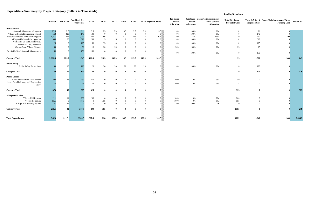## **Expenditure Summary by Project Category (dollars in Thousands)**

| <b>Total Cost</b> | Total SafeSpeed Grants/Reimbursements/Other<br><b>Funding Cost</b> | <b>Projected Cost</b> | <b>Total Tax Based</b><br><b>Projected Cost</b> | <i>Sujespeed</i> Grams/Kennoursement/<br>Other percent<br><b>Allocation</b> | Percent<br><b>Allocation</b> | scu<br>ent<br>ion |
|-------------------|--------------------------------------------------------------------|-----------------------|-------------------------------------------------|-----------------------------------------------------------------------------|------------------------------|-------------------|
|                   | $\boldsymbol{0}$                                                   | $21\,$                | $\boldsymbol{0}$                                | $0\%$                                                                       | $100\%$                      | 0%                |
|                   | $\boldsymbol{0}$                                                   | 140                   | $\boldsymbol{0}$                                | 0%                                                                          | 100%                         | 0%                |
|                   | 300                                                                | 740                   | $\boldsymbol{0}$                                | 29%                                                                         | 71%                          | 0%                |
|                   | $\boldsymbol{0}$                                                   | 319                   | $\boldsymbol{0}$                                | $0\%$                                                                       | 100%                         | 0%                |
|                   | $\boldsymbol{0}$                                                   | 125                   | $\boldsymbol{0}$                                | $0\%$                                                                       | 100%                         | 0%                |
|                   | $\boldsymbol{0}$                                                   | $25\,$                | $25\,$                                          | $0\%$                                                                       | 50%                          | 0%                |
|                   | $\boldsymbol{0}$                                                   | 150                   | $\boldsymbol{0}$                                | $0\%$                                                                       | 100%                         | 0%                |
| 1,845             | 300                                                                | 1,520                 | 25                                              |                                                                             |                              |                   |
|                   |                                                                    | 120                   | $\boldsymbol{0}$                                | $0\%$                                                                       | 100%                         | 0%                |
|                   | $\boldsymbol{0}$                                                   |                       |                                                 |                                                                             |                              |                   |
| 120               | $\pmb{0}$                                                          | 120                   | $\bf{0}$                                        |                                                                             |                              |                   |
|                   | $\boldsymbol{0}$                                                   | $\boldsymbol{0}$      | 250                                             | $0\%$                                                                       | $0\%$                        | 0%                |
|                   |                                                                    |                       |                                                 |                                                                             |                              |                   |
|                   | $\boldsymbol{0}$                                                   | $\boldsymbol{0}$      | 75                                              | $0\%$                                                                       | $0\%$                        | 0%                |
| 325               | $\bf{0}$                                                           | $\bf{0}$              | 325                                             |                                                                             |                              |                   |
|                   |                                                                    |                       |                                                 |                                                                             |                              |                   |
|                   | $\boldsymbol{0}$                                                   | $\boldsymbol{0}$      | 200                                             | $0\%$                                                                       | $0\%$                        | 0%                |
|                   | $\boldsymbol{0}$                                                   | $\boldsymbol{0}$      | 18.5                                            | $0\%$                                                                       | $0\%$                        | 0%                |
|                   | $\boldsymbol{0}$                                                   | $\boldsymbol{0}$      | $\boldsymbol{0}$                                | $\boldsymbol{0}$                                                            | 100%                         | 0%                |
| 219               | $\bf{0}$                                                           | $\bf{0}$              | 218.5                                           |                                                                             |                              |                   |
| 2,508.5           | 300                                                                | 1,640                 | 568.5                                           |                                                                             |                              |                   |
|                   |                                                                    |                       |                                                 |                                                                             |                              |                   |

|                                             | <b>CIP</b> Total | Est. FY14     | <b>Combined Six-</b><br><b>Year Total</b> | <b>FY15</b> | <b>FY16</b>    | <b>FY17</b> | <b>FY18</b>    | <b>FY19</b>    |                | FY20 Beyond 6 Years | <b>Tax Based</b><br>Percent<br>Allocation | Percent<br><b>Allocation</b> | SafeSpeed Grants/Reimbursement<br>Other percent<br><b>Allocation</b> | <b>Total Tax Based</b><br><b>Projected Cost</b> | <b>Projected Cost</b> | Total SafeSpeed Grants/Reimbursements/Other<br><b>Funding Cost</b> | <b>Total Cost</b> |
|---------------------------------------------|------------------|---------------|-------------------------------------------|-------------|----------------|-------------|----------------|----------------|----------------|---------------------|-------------------------------------------|------------------------------|----------------------------------------------------------------------|-------------------------------------------------|-----------------------|--------------------------------------------------------------------|-------------------|
| Infrastructure                              |                  |               |                                           |             |                |             |                |                |                |                     |                                           |                              |                                                                      |                                                 |                       |                                                                    |                   |
| Sidewalk Maintenance Program                | 23.5             | 2.5           | 21                                        | 3.5         | 3.5            | 3.5         | 3.5            | 3.5            | 3.5            | 3.5%                | 0%                                        | 100%                         | $0\%$                                                                |                                                 | 21                    |                                                                    |                   |
| Village Sidewalk Replacement Project        | 568              | 428           | 140                                       | 140         | $\overline{0}$ | $\theta$    | $\overline{0}$ | $\overline{0}$ | $\overline{0}$ | - റ%                | 0%                                        | 100%                         | 0%                                                                   |                                                 | 140                   |                                                                    |                   |
| Street Maintenance and Repair Program       | 1,411            | 371           | 1,040                                     | 480         | 106            | $111\,$     | 111            | 116            | 116            | $106\%$             | 0%                                        | 71%                          | 29%                                                                  |                                                 | 740                   | 300                                                                |                   |
| Village-wide Streetlight Upgrades           | 339              | 20            | 319                                       | 289         | 15             | 15          | $\theta$       | $\theta$       | $\overline{0}$ | $\cap$              | 0%                                        | 100%                         | 0%                                                                   |                                                 | 319                   |                                                                    |                   |
| West Kirke St. and Laurel Pkwy.             | 125              |               | 125                                       | 50          | 75             | $\Omega$    | $\Omega$       | $\Omega$       | $\Omega$       |                     | 0%                                        | 100%                         | 0%                                                                   |                                                 | 125                   |                                                                    |                   |
| Intersection Improvements                   |                  |               |                                           |             |                |             |                |                |                |                     |                                           |                              |                                                                      |                                                 |                       |                                                                    |                   |
| Chevy Chase Village Signage                 | 50               |               | 50                                        | 10          | 20             | 20          |                |                | $\Omega$       |                     | 50%                                       | 50%                          | 0%                                                                   | 25                                              | 25                    |                                                                    |                   |
| <b>Brookville Road Sidewalk Maintenance</b> | 150              |               | 150                                       | 150         | $\Omega$       | $\Omega$    | $\Omega$       | $\Omega$       | $\Omega$       |                     | 0%                                        | 100%                         | $0\%$                                                                | $\Omega$                                        | 150                   |                                                                    |                   |
| <b>Category Total</b>                       | 2,666.5          | 821.5         | 1,845                                     | 1,122.5     | 219.5          | 149.5       | 114.5          | 119.5          | 119.5          | 109.5               |                                           |                              |                                                                      | 25                                              | 1,520                 | 300                                                                | 1,845             |
| <b>Public Safety</b>                        |                  |               |                                           |             |                |             |                |                |                |                     |                                           |                              |                                                                      |                                                 |                       |                                                                    |                   |
| Public Safety Technology                    | 130              | <sup>10</sup> | 120                                       | 20          | 20             | 20          | 20             | 20             | 20             |                     | 0%                                        | 100%                         | 0%                                                                   | $\Omega$                                        | 120                   |                                                                    |                   |
| <b>Category Total</b>                       | 130              | 10            | 120                                       | 20          | 20             | 20          | 20             | 20             | 20             |                     |                                           |                              |                                                                      |                                                 | 120                   |                                                                    | <b>120</b>        |
| <b>Public Spaces</b>                        |                  |               |                                           |             |                |             |                |                |                |                     |                                           |                              |                                                                      |                                                 |                       |                                                                    |                   |
| Western Grove Park Development              | 298              | 48            | 250                                       | 250         |                |             |                |                | $\Omega$       |                     | 100%                                      | 0%                           | 0%                                                                   | 250                                             | $\Omega$              |                                                                    |                   |
| Laurel Park Hydrology and Engineering       |                  |               |                                           |             |                |             |                |                |                |                     |                                           |                              |                                                                      |                                                 |                       |                                                                    |                   |
| Study                                       | 75               |               | 75                                        | 75          |                |             |                |                | $\Omega$       |                     | 100%                                      | 0%                           | 0%                                                                   | 75                                              | $\Omega$              |                                                                    |                   |
| <b>Category Total</b>                       | 373              | 48            | 325                                       | 325         |                |             |                | -0             |                |                     |                                           |                              |                                                                      | 325                                             | - 0                   |                                                                    | 325               |
| <b>Village Hall/Office</b>                  |                  |               |                                           |             |                |             |                |                |                |                     |                                           |                              |                                                                      |                                                 |                       |                                                                    |                   |
| Village Hall Repairs                        | 211              | -11           | 200                                       | 200         | $\Omega$       |             |                |                | $\Omega$       |                     | 100%                                      | 0%                           | $0\%$                                                                | 200                                             |                       |                                                                    |                   |
| Website Re-design                           | 18.5             |               | 18.5                                      | $\theta$    | 18.5           | $\theta$    | $\Omega$       | $\overline{0}$ | $\overline{0}$ |                     | 100%                                      | 0%                           | $0\%$                                                                | 18.5                                            | $\Omega$              |                                                                    |                   |
| Village Hall Security System                | 21               | 21            |                                           |             | $\theta$       | $\Omega$    |                | $\Omega$       | $\Omega$       |                     | 0%                                        | 100%                         | $\Omega$                                                             |                                                 | $\Omega$              |                                                                    |                   |
|                                             |                  |               |                                           |             |                |             |                |                |                |                     |                                           |                              |                                                                      |                                                 |                       |                                                                    |                   |
| <b>Category Total</b>                       | 250.5            | 32            | 218.5                                     | 200         | 18.5           |             |                | $\mathbf{0}$   |                |                     |                                           |                              |                                                                      | 218.5                                           |                       |                                                                    | 219               |
|                                             |                  |               |                                           |             |                |             |                |                |                |                     |                                           |                              |                                                                      |                                                 |                       |                                                                    |                   |
| <b>Total Expenditures</b>                   | 3,420            | 911.5         | 2,508.5                                   | 1,667.5     | 258            | 169.5       | 134.5          | 139.5          | 139.5          | 109.5               |                                           |                              |                                                                      | 568.5                                           | 1,640                 | 300                                                                | 2,508.5           |

#### **Funding Breakdown**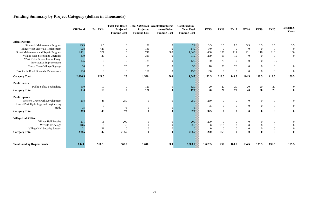## **Funding Summary by Project Category (dollars in Thousands)**

| ıl<br>st         | <b>FY15</b>      | <b>FY16</b>      | <b>FY17</b>      | <b>FY18</b>      | <b>FY19</b>      | <b>FY20</b>      | <b>Beyond 6</b><br><b>Years</b> |
|------------------|------------------|------------------|------------------|------------------|------------------|------------------|---------------------------------|
|                  |                  |                  |                  |                  |                  |                  |                                 |
| $\mathbf{1}$     | 3.5              | 3.5              | 3.5              | 3.5              | 3.5              | 3.5              | 3.5                             |
| $\overline{0}$   | 140              | $\boldsymbol{0}$ | $\boldsymbol{0}$ | $\boldsymbol{0}$ | $\boldsymbol{0}$ | $\boldsymbol{0}$ | $\boldsymbol{0}$                |
| $\overline{0}$   | 480              | 106              | 111              | 111              | 116              | 116              | 106                             |
| 9                | 289              | 15               | 15               | $\boldsymbol{0}$ | $\boldsymbol{0}$ | $\boldsymbol{0}$ | $\boldsymbol{0}$                |
| 5                | 50               | 75               | $\boldsymbol{0}$ | $\boldsymbol{0}$ | $\boldsymbol{0}$ | $0\,$ .          |                                 |
| $\overline{0}$   | 10               | 20               | 20               | $\overline{0}$   | $\boldsymbol{0}$ | $\boldsymbol{0}$ | $\boldsymbol{0}$                |
| $\overline{0}$   | 150              | $\boldsymbol{0}$ | $\boldsymbol{0}$ | $\boldsymbol{0}$ | $\boldsymbol{0}$ | $\boldsymbol{0}$ | $\boldsymbol{0}$                |
| 5                | 1,122.5          | 219.5            | 149.5            | 114.5            | 119.5            | 119.5            | 109.5                           |
| $\overline{0}$   | 20               | 20               | 20               | 20               | 20               | 20               | $\boldsymbol{0}$                |
| $\boldsymbol{0}$ | 20               | 20               | 20               | 20               | 20               | 20               | $\boldsymbol{0}$                |
| $\overline{0}$   | 250              | $\boldsymbol{0}$ | $\boldsymbol{0}$ | $\boldsymbol{0}$ | $\boldsymbol{0}$ | $\boldsymbol{0}$ | $\boldsymbol{0}$                |
|                  | 75               | $\boldsymbol{0}$ | $\boldsymbol{0}$ | $\boldsymbol{0}$ | $\boldsymbol{0}$ | $\boldsymbol{0}$ | $\boldsymbol{0}$                |
| 5<br>5           | 325              | $\boldsymbol{0}$ | $\bf{0}$         | $\boldsymbol{0}$ | $\boldsymbol{0}$ | $\boldsymbol{0}$ | $\boldsymbol{0}$                |
|                  |                  |                  |                  |                  |                  |                  |                                 |
| $\overline{0}$   | 200              | $\boldsymbol{0}$ | $\boldsymbol{0}$ | $\boldsymbol{0}$ | $\boldsymbol{0}$ | $\boldsymbol{0}$ | $\boldsymbol{0}$                |
| 5                | $\boldsymbol{0}$ | 18.5             | $\boldsymbol{0}$ | $\boldsymbol{0}$ | $\boldsymbol{0}$ | $\boldsymbol{0}$ | $\boldsymbol{0}$                |
| $\overline{0}$   | $\boldsymbol{0}$ | $\boldsymbol{0}$ | $\mathbf{0}$     | $\boldsymbol{0}$ | $\boldsymbol{0}$ | $\boldsymbol{0}$ | $\boldsymbol{0}$                |
| 5                | 200              | 18.5             | $\bf{0}$         | $\bf{0}$         | $\bf{0}$         | $\bf{0}$         | $\bf{0}$                        |
| 5                | 1,667.5          | 258              | 169.5            | 134.5            | 139.5            | 139.5            | 109.5                           |

|                                                                     | <b>CIP</b> Total | Est. FY14        | Projected<br><b>Funding Cost</b> | Total Tax Based Total SafeSpeed Grants/Reimburse<br>Projected<br><b>Funding Cost</b> | ments/Other<br><b>Funding Cost</b> | <b>Combined Six-</b><br><b>Year Total</b><br><b>Funding Cost</b> | <b>FY15</b>    | <b>FY16</b>      | <b>FY17</b>      | <b>FY18</b>      | <b>FY19</b>      | <b>FY20</b>      | <b>Beyond 6</b><br>Years |
|---------------------------------------------------------------------|------------------|------------------|----------------------------------|--------------------------------------------------------------------------------------|------------------------------------|------------------------------------------------------------------|----------------|------------------|------------------|------------------|------------------|------------------|--------------------------|
| <b>Infrastructure</b>                                               |                  |                  |                                  |                                                                                      |                                    |                                                                  |                |                  |                  |                  |                  |                  |                          |
| Sidewalk Maintenance Program                                        | 23.5             | 2.5              | $\overline{0}$                   | 21                                                                                   |                                    | 21                                                               | 3.5            | 3.5              | 3.5              | 3.5              | 3.5              | 3.5              | 3.5                      |
| Village-wide Sidewalk Replacement                                   | 568              | 428              | $\overline{0}$                   | 140                                                                                  | $\overline{0}$                     | 140                                                              | 140            | $\overline{0}$   | $\overline{0}$   | $\overline{0}$   | $\overline{0}$   | $\overline{0}$   |                          |
| Street Maintenance and Repair Program                               | 1,411            | 371              | $\overline{0}$                   | 740                                                                                  | 300                                | 1,040                                                            | 480            | 106              | 111              | 111              | 116              | 116              | 106                      |
| Village-wide Streetlight Upgrades                                   | 339              | 20               | $\overline{0}$                   | 319                                                                                  | $\overline{0}$                     | 319                                                              | 289            | 15               | 15               | $\overline{0}$   | $\boldsymbol{0}$ | $\mathbf{0}$     | $\mathbf 0$              |
| West Kirke St. and Laurel Pkwy.<br><b>Intersection Improvements</b> | 125              | $\boldsymbol{0}$ | $\overline{0}$                   | 125                                                                                  | $\mathbf{0}$                       | 125                                                              | 50             | 75               | $\overline{0}$   | $\overline{0}$   | $\boldsymbol{0}$ | $0$ .            |                          |
| Chevy Chase Village Signage                                         | 50               | $\boldsymbol{0}$ | $25\,$                           | 25                                                                                   | 0                                  | 50 <sub>3</sub>                                                  | 10             | 20               | 20               | $\overline{0}$   | $\boldsymbol{0}$ | $\boldsymbol{0}$ |                          |
| <b>Brookville Road Sidewalk Maintenance</b>                         | 150              | $\boldsymbol{0}$ | $\overline{0}$                   | 150                                                                                  | $\theta$                           | 150                                                              | 150            | $\boldsymbol{0}$ | $\boldsymbol{0}$ | $\overline{0}$   | $\boldsymbol{0}$ | $\boldsymbol{0}$ |                          |
| <b>Category Total</b>                                               | 2,666.5          | 821.5            | 25                               | 1,520                                                                                | 300                                | 1,845                                                            | 1,122.5        | 219.5            | 149.5            | 114.5            | 119.5            | 119.5            | 109.5                    |
| <b>Public Safety</b>                                                |                  |                  |                                  |                                                                                      |                                    |                                                                  |                |                  |                  |                  |                  |                  |                          |
| <b>Public Safety Technology</b>                                     | 130              | 10               | $\mathbf{0}$                     | 120                                                                                  | $\overline{0}$                     | 120                                                              | 20             | 20               | 20               | 20               | 20               | 20               |                          |
| <b>Category Total</b>                                               | 130              | 10               | $\bf{0}$                         | 120                                                                                  | $\mathbf{0}$                       | 120                                                              | 20             | 20               | 20               | 20               | 20               | 20               |                          |
| <b>Public Spaces</b>                                                |                  |                  |                                  |                                                                                      |                                    |                                                                  |                |                  |                  |                  |                  |                  |                          |
| Western Grove Park Development                                      | 298              | 48               | 250                              | $\boldsymbol{0}$                                                                     | $\Omega$                           | 250                                                              | 250            | $\overline{0}$   | $\boldsymbol{0}$ | $\overline{0}$   | $\boldsymbol{0}$ | $\boldsymbol{0}$ |                          |
| Laurel Park Hydrology and Engineering                               |                  |                  |                                  |                                                                                      |                                    |                                                                  |                |                  |                  |                  |                  |                  |                          |
| Study                                                               | 75               | $\boldsymbol{0}$ | 75                               | $\boldsymbol{0}$                                                                     | $\Omega$                           | 75                                                               | 75             | $\overline{0}$   | $\boldsymbol{0}$ | $\mathbf{0}$     | $\overline{0}$   | $\overline{0}$   |                          |
| <b>Category Total</b>                                               | 373              | 48               | 325                              | $\mathbf 0$                                                                          | $\mathbf 0$                        | 325                                                              | 325            | $\bf{0}$         | $\bf{0}$         | $\bf{0}$         | $\boldsymbol{0}$ | $\boldsymbol{0}$ |                          |
| <b>Village Hall/Office</b>                                          |                  |                  |                                  |                                                                                      |                                    |                                                                  |                |                  |                  |                  |                  |                  |                          |
| Village Hall Repairs                                                | 211              | 11               | 200                              | $\boldsymbol{0}$                                                                     | $\Omega$                           | 200                                                              | 200            | $\overline{0}$   | $\boldsymbol{0}$ | $\overline{0}$   | $\boldsymbol{0}$ | $\mathbf{0}$     |                          |
| Website Re-design                                                   | 18.5             | $\boldsymbol{0}$ | 18.5                             | $\overline{0}$                                                                       | $\theta$                           | 18.5                                                             | $\overline{0}$ | 18.5             | $\overline{0}$   | $\boldsymbol{0}$ | $\boldsymbol{0}$ | $\overline{0}$   |                          |
| Village Hall Security System                                        | 21               | 21               | $\overline{0}$                   | $\boldsymbol{0}$                                                                     |                                    | $\vert 0 \vert$                                                  | $\overline{0}$ | $\overline{0}$   | $\mathbf{0}$     | $\boldsymbol{0}$ | $\boldsymbol{0}$ | $\boldsymbol{0}$ |                          |
| <b>Category Total</b>                                               | 250.5            | 32               | 218.5                            | $\mathbf 0$                                                                          | $\mathbf{0}$                       | 218.5                                                            | 200            | 18.5             | $\mathbf{0}$     | $\mathbf{0}$     | $\bf{0}$         | $\bf{0}$         |                          |
|                                                                     |                  |                  |                                  |                                                                                      |                                    |                                                                  |                |                  |                  |                  |                  |                  |                          |
| <b>Total Funding Requirements</b>                                   | 3,420            | 911.5            | 568.5                            | 1,640                                                                                | 300                                | 2,508.5                                                          | 1,667.5        | 258              | 169.5            | 134.5            | 139.5            | 139.5            | 109.5                    |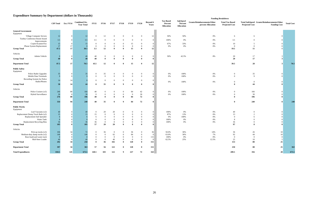## **Expenditure Summary by Department (dollars in Thousands)**

| d<br>ıt<br>n | <b>SafeSpeed</b><br>Percent<br><b>Allocation</b> | Grants/Reimbursements/Other<br>percent Allocation | <b>Total Tax Based</b><br><b>Projected Cost</b> | <b>Projected Cost</b>    | Total SafeSpeed Grants/Reimbursements/Other<br><b>Funding Cost</b> | <b>Total Cost</b> |
|--------------|--------------------------------------------------|---------------------------------------------------|-------------------------------------------------|--------------------------|--------------------------------------------------------------------|-------------------|
|              |                                                  |                                                   |                                                 |                          |                                                                    |                   |
| 6            | 50%                                              | $0\%$                                             | 6                                               | 6                        | $\boldsymbol{0}$                                                   |                   |
| %            | $0\%$                                            | $0\%$                                             | $3.5\,$                                         | $\boldsymbol{0}$         | $\boldsymbol{0}$                                                   |                   |
| 6            | 33%                                              | $0\%$                                             | $10\,$                                          | $\sqrt{5}$               | $\boldsymbol{0}$                                                   |                   |
| %            | $0\%$                                            | $0\%$                                             | $\boldsymbol{0}$                                | $\boldsymbol{0}$         | $\boldsymbol{0}$                                                   |                   |
|              |                                                  |                                                   | $19.5\,$                                        | $11\,$                   | $\boldsymbol{0}$                                                   |                   |
| 6            | 42.5%                                            | $8\%$                                             | $20\,$                                          | $17\,$                   | $\ensuremath{\mathfrak{Z}}$                                        |                   |
|              |                                                  |                                                   | ${\bf 20}$                                      | ${\bf 17}$               | $\mathbf{3}$                                                       |                   |
|              |                                                  |                                                   | 39.5                                            | ${\bf 28}$               | $\mathbf{3}$                                                       | $\bf 70.5$        |
|              | $100\%$                                          | $0\%$                                             | $\boldsymbol{0}$                                | $35\,$                   | $\vert 0 \vert$                                                    |                   |
| 6<br>6       | 100%                                             | $0\%$                                             | $\boldsymbol{0}$                                | 9                        | $\boldsymbol{0}$                                                   |                   |
| 6            | 100%                                             | $0\%$                                             | $\boldsymbol{0}$                                | $\boldsymbol{0}$         | $\boldsymbol{0}$                                                   |                   |
|              |                                                  |                                                   | $\pmb{0}$                                       | 44                       | $\pmb{0}$                                                          |                   |
| 6            | $100\%$                                          | $0\%$                                             | $\boldsymbol{0}$                                | 166                      | $\boldsymbol{0}$                                                   |                   |
| %            | $100\%$                                          | $0\%$                                             | $\boldsymbol{0}$                                | $30\,$                   | $\boldsymbol{0}$                                                   |                   |
|              |                                                  |                                                   | $\boldsymbol{0}$                                | 196                      | $\pmb{0}$                                                          |                   |
|              |                                                  |                                                   | $\boldsymbol{0}$                                | 240                      | $\boldsymbol{0}$                                                   | 240               |
|              |                                                  |                                                   |                                                 |                          |                                                                    |                   |
| 6            | $0\%$                                            | $0\%$                                             | $40\,$                                          | $\boldsymbol{0}$         | $\boldsymbol{0}$                                                   |                   |
| %            | 13%<br>$100\%$                                   | $0\%$<br>$0\%$                                    | 13<br>$\boldsymbol{0}$                          | $\sqrt{2}$<br>$\sqrt{6}$ | $\boldsymbol{0}$<br>$\boldsymbol{0}$                               |                   |
| 6<br>6       | $0\%$                                            | $0\%$                                             | $\,8\,$                                         | $\boldsymbol{0}$         | $\boldsymbol{0}$                                                   |                   |
| %            | $0\%$                                            | $0\%$                                             | $36\,$                                          | $\boldsymbol{0}$         | $\boldsymbol{0}$                                                   |                   |
|              |                                                  |                                                   | 97                                              | 8                        | $\boldsymbol{0}$                                                   |                   |
| 6            | 36%                                              | 14%                                               | 36                                              | 26                       | 10                                                                 |                   |
| 6            | $30\%$                                           | $7\%$                                             | 92                                              | $44\,$                   | $10\,$                                                             |                   |
| 6            | $0\%$                                            | $0\%$                                             | $\boldsymbol{0}$                                | $\boldsymbol{0}$         | $\boldsymbol{0}$                                                   |                   |
| %            | 25%                                              | 12.5%                                             | $25\,$                                          | $10\,$                   | $\vert$ 5                                                          |                   |
|              |                                                  |                                                   | 153                                             | ${\bf 80}$               | 25                                                                 |                   |
|              |                                                  |                                                   | ${\bf 250}$                                     | ${\bf 88}$               | 25                                                                 | 363               |
|              |                                                  |                                                   | 289.5                                           | 356                      | 28                                                                 | 673.5             |

|                                                | <b>CIP</b> Total | Est. FY14 | <b>Combined Six-</b><br><b>Year Total</b> | <b>FY15</b>           | <b>FY16</b>                | <b>FY17</b>              | <b>FY18</b>              | <b>FY19</b>          | <b>FY20</b>                    | <b>Beyond 6</b><br>Years | <b>Tax Based</b><br>Percent<br>Allocation | <b>SafeSpeed</b><br>Percent<br><b>Allocation</b> | Grants/Reimbursements/Other<br>percent Allocation | <b>Total Tax Based</b><br><b>Projected Cost</b> | Total SafeSpeed Grants/Reimbursements/Other<br><b>Projected Cost</b> | <b>Funding Cost</b> | <b>Total Cost</b> |
|------------------------------------------------|------------------|-----------|-------------------------------------------|-----------------------|----------------------------|--------------------------|--------------------------|----------------------|--------------------------------|--------------------------|-------------------------------------------|--------------------------------------------------|---------------------------------------------------|-------------------------------------------------|----------------------------------------------------------------------|---------------------|-------------------|
| <b>General Government</b>                      |                  |           |                                           |                       |                            |                          |                          |                      |                                |                          |                                           |                                                  |                                                   |                                                 |                                                                      |                     |                   |
| Equipment                                      |                  |           |                                           |                       |                            |                          |                          |                      |                                |                          |                                           |                                                  |                                                   |                                                 |                                                                      |                     |                   |
| Village Computer Servers                       |                  |           |                                           | $\overline{0}$        | 12                         | $\overline{0}$           | $\theta$                 |                      | $\mathbf{0}$                   | 12 <sub>2</sub>          | 50%                                       | 50%                                              | 0%                                                | 6                                               | -6                                                                   |                     |                   |
| Tuohey Conference Room Sound                   | 3.5              |           | 3.5                                       | 3.5                   | $\Omega$                   | $\overline{0}$           | $\theta$                 |                      | $\overline{0}$                 |                          | 100%                                      | 0%                                               | 0%                                                | 3.5                                             |                                                                      |                     |                   |
| Improvements                                   |                  |           |                                           |                       |                            |                          |                          |                      |                                |                          |                                           |                                                  |                                                   |                                                 |                                                                      |                     |                   |
| Copier/Scanner/Fax<br>Phone System Replacement | 15<br>17         |           | 15                                        |                       | $\mathbf{0}$               | $\theta$<br>$\mathbf{0}$ | $\Omega$<br>$\mathbf{0}$ | 15                   | $\overline{0}$<br>$\mathbf{0}$ |                          | 67%<br>0%                                 | 33%<br>0%                                        | 0%                                                | 10<br>$\overline{0}$                            | $\Omega$                                                             |                     |                   |
| <b>Group Total</b>                             | 47.5             | 17<br>17  | 30.5                                      | $\overline{0}$<br>3.5 | 12                         | $\theta$                 | $\mathbf{0}$             | $\overline{0}$<br>15 | $\mathbf{0}$                   | 12                       |                                           |                                                  | 0%                                                | 19.5                                            | 11                                                                   |                     |                   |
|                                                |                  |           |                                           |                       |                            |                          |                          |                      |                                |                          |                                           |                                                  |                                                   |                                                 |                                                                      |                     |                   |
| $V\!e$                                         |                  |           |                                           |                       |                            |                          |                          |                      |                                |                          |                                           |                                                  |                                                   |                                                 |                                                                      |                     |                   |
| Admin Vehicle                                  |                  |           |                                           | 40                    | $\bf{0}$                   | $\boldsymbol{0}$         | $\mathbf{0}$             |                      | $\boldsymbol{0}$               |                          | 50%                                       | 42.5%                                            | 8%                                                | 20                                              | 17                                                                   |                     |                   |
| <b>Group Total</b>                             |                  |           |                                           | 40                    | $\theta$                   |                          |                          |                      |                                | 0                        |                                           |                                                  |                                                   | 20                                              | 17                                                                   |                     |                   |
|                                                |                  |           |                                           |                       |                            |                          |                          |                      |                                |                          |                                           |                                                  |                                                   |                                                 |                                                                      |                     |                   |
| <b>Department Total</b>                        | 87.5             | 17        | 70.5                                      | 43.5                  | 12                         |                          | $\mathbf{0}$             | 15                   | $\mathbf{0}$                   | 12                       |                                           |                                                  |                                                   | 39.5                                            | 28                                                                   |                     | 70.5              |
| <b>Public Safety</b>                           |                  |           |                                           |                       |                            |                          |                          |                      |                                |                          |                                           |                                                  |                                                   |                                                 |                                                                      |                     |                   |
| Equipment                                      |                  |           |                                           |                       |                            |                          |                          |                      |                                |                          |                                           |                                                  |                                                   |                                                 |                                                                      |                     |                   |
| Police Radio Upgrades                          | 35               |           |                                           |                       | $35\,$                     | $\theta$                 | $\boldsymbol{0}$         |                      | $\boldsymbol{0}$               |                          | 0%                                        | 100%                                             | 0%                                                | $\bf{0}$                                        | 35                                                                   |                     |                   |
| Mobile Data Terminals                          |                  |           |                                           | $\Omega$              | $\overline{0}$             | $\theta$                 | $\mathbf{Q}$             |                      | $\overline{0}$                 |                          | 0%                                        | 100%                                             | 0%                                                | $\Omega$                                        | $\mathbf{Q}$                                                         |                     |                   |
| Recording System for Police                    |                  |           |                                           |                       |                            |                          |                          |                      |                                |                          |                                           |                                                  |                                                   |                                                 |                                                                      |                     |                   |
| Radio/Phones                                   |                  | 14        |                                           |                       | $\Omega$                   | $\Omega$                 | $\overline{0}$           |                      | $\overline{0}$                 |                          | $0\%$                                     | 100%                                             | 0%                                                | $\Omega$                                        | $\overline{0}$                                                       |                     |                   |
| <b>Group Total</b>                             | 58               | 14        | $\Delta\Delta$                            |                       | 35                         | $\mathbf{0}$             | $\mathbf{q}$             |                      | $\mathbf{0}$                   |                          |                                           |                                                  |                                                   |                                                 | 44                                                                   |                     |                   |
|                                                |                  |           |                                           |                       |                            |                          |                          |                      |                                |                          |                                           |                                                  |                                                   |                                                 |                                                                      |                     |                   |
| Vehicles                                       |                  |           |                                           |                       |                            |                          |                          |                      |                                |                          |                                           |                                                  |                                                   |                                                 |                                                                      |                     |                   |
| Police Cruisers (x3)                           | 246              | 80        | 166                                       | 40                    | $\bf{0}$                   | $\theta$                 | $\mathbf{0}$             | 84                   | 42                             |                          | $0\%$                                     | 100%                                             | 0%                                                | $\Omega$                                        | 166                                                                  |                     |                   |
| Hybrid Surveillance                            | 30               | 80        | 30<br>196                                 | $\overline{0}$<br>40  | $\overline{0}$<br>$\theta$ | $\theta$                 | $\mathbf{0}$             | $\overline{0}$<br>84 | $30\,$                         |                          | 0%                                        | 100%                                             | $0\%$                                             | $\Omega$                                        | 30                                                                   |                     |                   |
| <b>Group Total</b>                             | 276              |           |                                           |                       |                            |                          |                          |                      | 72                             |                          |                                           |                                                  |                                                   |                                                 | 196                                                                  |                     |                   |
| <b>Department Total</b>                        | 334              | 94        | 240                                       | 40                    | 35                         |                          | $\bf{Q}$                 | 84                   | 72                             |                          |                                           |                                                  |                                                   |                                                 | 240                                                                  |                     | 240               |
| <b>Public Works</b>                            |                  |           |                                           |                       |                            |                          |                          |                      |                                |                          |                                           |                                                  |                                                   |                                                 |                                                                      |                     |                   |
| Equipment                                      |                  |           |                                           |                       |                            |                          |                          |                      |                                |                          |                                           |                                                  |                                                   |                                                 |                                                                      |                     |                   |
| Leaf Vacuums (x2)                              |                  |           |                                           | $\Omega$              | 20                         | 20                       | $\mathbf{0}$             |                      | $\overline{0}$                 |                          | 100%                                      | 0%                                               | 0%                                                | 40                                              |                                                                      |                     |                   |
| Replacement Dump Truck Beds (x2)               | 15               |           | 15                                        | 15                    | $\Omega$                   | $\mathbf{0}$             | $\theta$                 |                      | $\overline{0}$                 |                          | 87%                                       | 13%                                              | 0%                                                | 13                                              |                                                                      |                     |                   |
| Replacement Salt Spreader                      |                  |           |                                           | -6                    | $\Omega$                   | $\overline{0}$           | $\theta$                 |                      | $\overline{0}$                 |                          | 0%                                        | 100%                                             | 0%                                                | $\Omega$                                        |                                                                      |                     |                   |
| Water Tank                                     |                  |           |                                           |                       |                            | $\theta$                 |                          |                      | $\theta$                       |                          | 100%                                      | 0%                                               | 0%                                                |                                                 |                                                                      |                     |                   |
| Replacement Recycling Bins                     | 36               |           | 36                                        | 36                    | $\overline{0}$             | $\mathbf{0}$             | $\mathbf{0}$             |                      | $\overline{0}$                 |                          | 100%                                      | $0\%$                                            | 0%                                                | 36                                              |                                                                      |                     |                   |
| <b>Group Total</b>                             | 105              |           | 105                                       | 57                    | 20                         | 20                       |                          |                      |                                |                          |                                           |                                                  |                                                   | 97                                              |                                                                      |                     |                   |
| Vehicles                                       |                  |           |                                           |                       |                            |                          |                          |                      |                                |                          |                                           |                                                  |                                                   |                                                 |                                                                      |                     |                   |
| Pick-up trucks (x3)                            | 106              | 34        | 72                                        | $\Omega$              | 36                         | $\Omega$                 | 0                        | 36                   | $\Omega$                       | 36                       | 50.0%                                     | 36%                                              | 14%                                               | 36                                              | 26                                                                   | 10                  |                   |
| Medium-duty dump trucks (x2)                   | 146              |           | 146                                       | $\Omega$              | $\Omega$                   | 62                       | $\theta$                 | 84                   | $\overline{0}$                 | -03                      | 63.0%                                     | 30%                                              | 7%                                                | 92                                              | 44                                                                   | 10                  |                   |
| Rear-load/yard waste truck                     | $\overline{0}$   |           |                                           | $\overline{0}$        | $\overline{0}$             | $\overline{0}$           | $\mathbf{0}$             | $\overline{0}$       | $\mathbf{0}$                   | 115%                     | 100%                                      | $0\%$                                            | $0\%$                                             | $\overline{0}$                                  | $\theta$                                                             |                     |                   |
| Skid-Steer Loader                              | 40               |           | 40                                        | $\overline{0}$        | $\overline{0}$             | $40\,$                   | $\overline{0}$           | $\overline{0}$       | $\mathbf{0}$                   | - 03                     | 62.5%                                     | 25%                                              | 12.5%                                             | 25                                              | $10\,$                                                               |                     |                   |
| <b>Group Total</b>                             | 292              | 34        | 258                                       | $\bf{0}$              | 36                         | 102                      | $\mathbf{0}$             | 120                  | $\bf{0}$                       | 151                      |                                           |                                                  |                                                   | 153                                             | 80                                                                   | 25                  |                   |
| <b>Department Total</b>                        | 397              | 34        | 363                                       | 57                    | 56                         | $122\,$                  | $\mathbf{0}$             | 128                  | $\mathbf{0}$                   | 151                      |                                           |                                                  |                                                   | 250                                             | 88                                                                   | 25                  | 363               |
| <b>Total Expenditures</b>                      | 818.5            | 145       | 673.5                                     | 140.5                 | 103                        | 122                      | $\mathbf{q}$             | 227                  | 72                             | 163 <sup>3</sup>         |                                           |                                                  |                                                   | 289.5                                           | 356                                                                  | 28                  | 673.5             |

#### **Funding Breakdown**